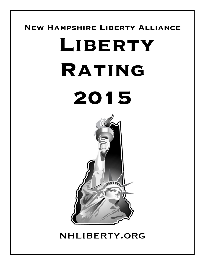#### **New Hampshire Liberty Alliance**

# **Liberty Rating 2015**



## nhliberty.org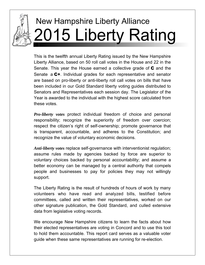

# New Hampshire Liberty Alliance 2015 Liberty Rating

This is the twelfth annual Liberty Rating issued by the New Hampshire Liberty Alliance, based on 50 roll call votes in the House and 22 in the Senate. This year the House earned a collective grade of C and the Senate a C+. Individual grades for each representative and senator are based on pro-liberty or anti-liberty roll call votes on bills that have been included in our Gold Standard liberty voting guides distributed to Senators and Representatives each session day. The Legislator of the Year is awarded to the individual with the highest score calculated from these votes.

*Pro-liberty votes* protect individual freedom of choice and personal responsibility; recognize the superiority of freedom over coercion; respect the citizen's right of self-ownership; promote governance that is transparent, accountable, and adheres to the Constitution; and recognize the value of voluntary economic decisions.

*Anti-liberty votes* replace self-governance with interventionist regulation; assume rules made by agencies backed by force are superior to voluntary choices backed by personal accountability; and assume a better economy can be managed by a central authority that compels people and businesses to pay for policies they may not willingly support.

The Liberty Rating is the result of hundreds of hours of work by many volunteers who have read and analyzed bills, testified before committees, called and written their representatives, worked on our other signature publication, the Gold Standard, and culled extensive data from legislative voting records.

We encourage New Hampshire citizens to learn the facts about how their elected representatives are voting in Concord and to use this tool to hold them accountable. This report card serves as a valuable voter guide when these same representatives are running for re-election.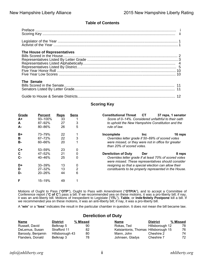#### **Table of Contents**

| The House of Representatives |  |
|------------------------------|--|
| The Senate                   |  |
|                              |  |

#### **Scoring Key**

| Grade<br>$A+$<br>A<br>А- | <b>Percent</b><br>93-100%<br>87-92%<br>80-86% | <b>Reps</b><br>33<br>27<br>26 | <b>Sens</b><br>3<br>5 | <b>Constitutional Threat</b><br>CT<br>37 reps, 1 senator<br>Score of 0–14%. Considered unfaithful to their oath<br>to uphold the New Hampshire Constitution and the<br>rule of law. |
|--------------------------|-----------------------------------------------|-------------------------------|-----------------------|-------------------------------------------------------------------------------------------------------------------------------------------------------------------------------------|
| $B+$<br>B<br><b>B-</b>   | 73-79%<br>$67 - 72%$<br>$60 - 66%$            | 22<br>22<br>20                | 3                     | Incomplete<br>16 reps<br><b>Inc</b><br>Overrides letter grade if 50–69% of scored votes<br>were missed, or they were not in office for greater<br>than 20% of scored votes.         |
| $C+$<br>C<br>$C -$       | $53 - 59%$<br>47-52%<br>40-46%                | 23<br>21<br>25                | 0<br>0<br>0           | <b>Dereliction of Duty</b><br>Der<br>8 reps<br>Overrides letter grade if at least 70% of scored votes                                                                               |
| D+<br>D<br>D-            | $33 - 39%$<br>$27 - 32%$<br>$20 - 26%$        | 13<br>13<br>44                | 0<br>2<br>6           | were missed. These representatives should consider<br>resigning so that a special election can allow their<br>constituents to be properly represented in the House.                 |
| F                        | 15–19%                                        | 49                            |                       |                                                                                                                                                                                     |

Motions of Ought to Pass ("**OTP**"), Ought to Pass with Amendment ("**OTP/A**"), and to accept a Committee of Conference report ("**C of C**") pass a bill. If we recommended yea on these motions, it was a pro-liberty bill; if nay, it was an anti-liberty bill. Motions of Inexpedient to Legislate ("**ITL**"), **Table**, or **Inde finitely Postpone** kill a bill. If we recommended yea on these motions, it was an anti-liberty bill; if nay, it was a pro-liberty bill.

A "**win**" or a "**loss**" indicates the result in the particular chamber in question. It does not mean the bill became law.

#### **Dereliction of Duty**

| Name              | <b>District</b> | % Missed | Name                                 | <b>District</b> | % Missed |
|-------------------|-----------------|----------|--------------------------------------|-----------------|----------|
| Russell, David    | Belknap 5       | 90       | Rokas, Ted                           | Hillsborough 12 | 78       |
| DeLemus, Susan    | Strafford 11    | 82       | Katsiantonis, Thomas Hillsborough 15 |                 | 76       |
| Baroody, Benjamin | Hillsborough 43 | 80       | Mann, John                           | Cheshire 2      | 74       |
| Flanders, Donald  | Belknap 3       | 78       | Johnsen, Gladys                      | Cheshire 7      | 72       |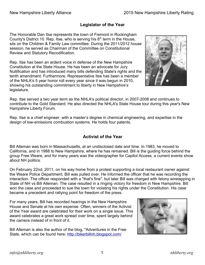#### **Legislator of the Year**

The Honorable Dan Itse represents the town of Fremont in Rockingham County's District 10. Rep. Itse, who is serving his  $8<sup>th</sup>$  term in the House, sits on the Children & Family Law committee. During the 2011/2012 house session, he served as Chairman of the Committee on Constitutional Review and Statutory Recodification.

Rep. Itse has been an ardent voice in defense of the New Hampshire Constitution at the State House. He has been an advocate for Jury Nullification and has introduced many bills defending State's rights and the tenth amendment. Furthermore, Representative Itse has been a member of the NHLA's 5 year honor roll every year since it was begun in 2010, showing his outstanding commitment to liberty in New Hampshire's legislature.



Rep. Itse served a two year term as the NHLA's political director, in 2007-2008 and continues to contribute to the Gold Standard. He also directed the NHLA's State House tour during this year's New Hampshire Liberty Forum.

Rep. Itse is a chief engineer, with a master's degree in chemical engineering, and expertise in the design of low-emissions combustion systems. He holds four patents.

#### **Activist of the Year**

Bill Alleman was born in Massachusetts, at an undisclosed date and time. In 1983, he moved to California, and in 1988 to New Hampshire, where he has remained. Bill is the guiding force behind the group Free Weare, and for many years was the videographer for Capitol Access, a current events show about NH politics.

On February 22nd, 2011, on his way home from a protest supporting a local restaurant owner against the Weare Police Department, Bill was pulled over. He informed the officer that he was recording the interaction. The officer responded with a "that's fine", but later Bill was charged with felony wiretapping in State of NH vs Bill Alleman. The case resulted in a ringing victory for freedom in New Hampshire. Bill won the case and proceeded to sue the town for violating his rights under the Constitution. His case became a precedent and rallying point for freedom of the press.

For many years, Bill has recorded hearings in the New Hampshire House and Senate at his own expense. Often, winners of the Activist of the Year award are celebrated for their work on a single issue. This award celebrates a great work spread over time, spent largely behind the camera instead of in front of it.

Bill Alleman is also the author of the blog, "Adventures in the Free State, which can be found here:<http://bikerbillnh.blogspot.com/>

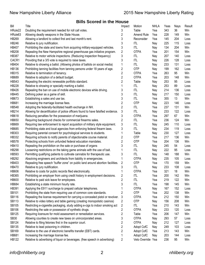#### **Bills Scored in the House**

| Bill                | Title                                                                                                                      | Impact                  | Motion                          | <b>NHLA</b> | Yeas       | Nays       | Result |
|---------------------|----------------------------------------------------------------------------------------------------------------------------|-------------------------|---------------------------------|-------------|------------|------------|--------|
| HRule22             | Doubling the requirement needed for roll call votes.                                                                       | 3                       | Table                           | Yea         | 343        | 36         | Win    |
| HRule <sub>63</sub> | Allowing deadly weapons in the State House.                                                                                | 2                       | Amend Rule                      | Yea         | 228        | 149        | Win    |
| <b>HB269</b>        | Allowing a landlord to collect first and last month's rent.                                                                | 3                       | Reconsider                      | Yea         | 145        | 204        | Loss   |
| <b>HB246</b>        | Relative to jury nullification.                                                                                            | 3                       | <b>ITL</b>                      | Nay         | 225        | 115        | Loss   |
| HB407               | Prohibiting the state and towns from acquiring military-equipped vehicles.                                                 | 3                       | <b>ITL</b>                      | Nay         | 134        | 204        | Win    |
| <b>HB208</b>        | Repealing the New Hampshire regional greenhouse gas initiative program.                                                    | $\overline{\mathbf{c}}$ | <b>OTPA</b>                     | Yea         | 201        | 154        | Win    |
| <b>HB387</b>        | Relative to motor vehicle inspections. (Reducing inspection frequency)                                                     | 3                       | <b>ITL</b>                      | Nay         | 207        | 140        | Loss   |
| CACR1               | Providing that a 3/5 vote is required to raise taxes.                                                                      | 3                       | <b>ITL</b>                      | Nay         | 226        | 128        | Loss   |
| HB404               | Relative to showing a ballot. (Allowing photos of ballots on social media)                                                 | 1                       | <b>ITL</b>                      | Nay         | 233        | 131        | Loss   |
| <b>HB136</b>        | Prohibiting tanning facilities from tanning persons under 18 years of age.                                                 | 2                       | <b>OTP</b>                      | Nay         | 199        | 162        | Loss   |
| <b>HB315</b>        | Relative to termination of tenancy.                                                                                        | 2                       | <b>OTPA</b>                     | Yea         | 263        | 95         | Win    |
| <b>HB689</b>        | Relative to adoption of a default budget.                                                                                  | 2                       | <b>OTPA</b>                     | Yea         | 203        | 148        | Win    |
| HB543               | Repealing the electric renewable portfolio standard.                                                                       | 2                       | Table                           | Nay         | 253        | 95         | Loss   |
| <b>HB228</b>        | Relative to showing or specially marking a ballot.                                                                         |                         | <b>ITL</b>                      | Nay         | 253        | 89         | Loss   |
| <b>HB426</b>        | Repealing the ban on use of mobile electronic devices while driving.                                                       | 3                       | <b>ITL</b>                      | Nay         | 214        | 136        | Loss   |
| <b>HB445</b>        | Defining poker as a game of skill.                                                                                         | 3                       | <b>ITL</b>                      | Nay         | 217        | 150        | Loss   |
| HB673               | Establishing a sales and use tax.                                                                                          | 3                       | <b>ITL</b>                      | Yea         | 355        | 13         | Win    |
| <b>HB681</b>        | Increasing the marriage license fees.                                                                                      | 2                       | <b>OTP</b>                      | Nay         | 223        | 146        | Loss   |
| <b>HB548</b>        | Adopting the federally-facilitated health exchange in NH.                                                                  | 2                       | <b>ITL</b>                      | Yea         | 237        | 131        | Win    |
| <b>HB214</b>        | Allowing for decertification of police officers found to have falsified evidence.                                          | 3                       | <b>ITL</b>                      | Nay         | 233        | 122        | Loss   |
| HB618               | Reducing penalties for the possession of marijuana.                                                                        | 3                       | <b>OTPA</b>                     | Yea         | 297        | 67         | Win    |
| <b>HB650</b>        | Requiring background checks for commercial firearms sales.                                                                 | $\overline{c}$          | <b>ITL</b>                      | Yea         | 236        | 124        | Win    |
| HB669               | Requiring law enforcement to report acquisition of military style equipment.                                               | 3                       | <b>ITL</b>                      | Nay         | 245        | 110        | Loss   |
| <b>HB685</b>        | Prohibiting state and local agencies from enforcing federal firearm laws.                                                  | 3                       | <b>ITL</b>                      | Nay         | 234        | 119        | Loss   |
| HB303               | Requiring parental consent for psychological services to students.                                                         |                         | Table                           | Nay         | 230        | 127        | Loss   |
| <b>HB332</b>        | Requiring schools to notify parents of objectionable course material.                                                      | 2                       | <b>OTP</b>                      | Yea         | 217        | 136        | Win    |
| <b>HB578</b>        | Protecting schools from unfunded federal education mandates.                                                               | 2                       | <b>OTP</b>                      | Yea         | 204        | 136        | Win    |
| HB410               | Repealing the prohibition on the sale or purchase of organs                                                                | 3                       | <b>ITL</b>                      | Nay         | 245        | 54         | Loss   |
| <b>HB298</b>        | Loosening restrictions on the taking game animals with the use of bait.                                                    |                         | <b>ITL</b>                      | Nay         | 222        | 95         | Loss   |
| HB593               | Permitting qualifying patients to cultivate cannabis for therapeutic use.                                                  | 3                       | ITL                             | Nay         | 148        | 188        | Win    |
| <b>HB292</b>        | Absolving engineers and architects from liability in emergencies.                                                          |                         | <b>OTPA</b>                     | Nay         | 235        | 105        | Loss   |
| HB403               | Repealing free speech "buffer zone" on public land around abortion facilities.                                             | 2                       | <b>OTP</b>                      | Yea         | 170        | 159        | Win    |
| <b>HB470</b>        | Relative to jury nullification.                                                                                            | 3                       | <b>ITL</b>                      | Nay         | 233        | 108        | Loss   |
| <b>HB606</b>        | Relative to costs for public records filed electronically.                                                                 |                         | <b>OTPA</b>                     | Yea         | 321        | 18         | Win    |
| HB365               | Prohibiting an employer from using credit history in employment decisions.                                                 |                         | <b>ITL</b>                      | Yea         | 200        | 142        | Win    |
| <b>HB600</b>        | Relative to paid sick leave for employees.                                                                                 | 2<br>2                  | <b>ITL</b>                      | Yea         | 219        | 122        | Win    |
| <b>HB684</b>        | Establishing a state minimum hourly rate.                                                                                  | 3                       | <b>ITL</b>                      | Yea         | 198        | 145        | Win    |
| HB391               | Applying the E911 surcharge to prepaid cellular telephones.                                                                |                         | <b>OTPA</b>                     | Nay         | 167        | 152        | Loss   |
| SB101               | Prohibiting the state from requiring use of common core standards.                                                         | 2                       | OTP                             | Yea         | 202        | 138        | Win    |
| <b>SB116</b>        | Repealing the license requirement for carrying a concealed pistol or revolver.                                             | 3                       | <b>OTPA</b>                     | Yea         | 212        | 150        | Win    |
| <b>SB113</b>        | Relative to video lottery and table gaming (creating monopolistic casinos)                                                 | 2                       | <b>OTP</b>                      | Nay         | 156        | 208        | Win    |
| SB105               | Restricting e-cigarette packaging, study adding e-cigs to indoor smoking act                                               | 2                       | ITL                             | Yea         | 210        | 143        | Win    |
| SB106               |                                                                                                                            | 2                       | <b>OTPA</b>                     | Nay         | 233        | 120        | Loss   |
| SB125               | Restricting the sale or possession of synthetic drugs.<br>Requiring licensure for mold assessment or remediation services. | 2                       | Table                           | Yea         | 206        | 147        | Win    |
| <b>SB30</b>         |                                                                                                                            | 3                       | <b>OTPA</b>                     |             | 293        | 57         |        |
|                     | Allowing counties to create new taxes on unincorporated areas.                                                             |                         | <b>OTPA</b>                     | Nay         |            |            | Loss   |
| SB124<br>SB135      | Relative to filing felonies first in the superior court.                                                                   | 2<br>2                  |                                 | Nay         | 212        | 127<br>103 | Loss   |
| SB169               | Relative to lead poisoning in children.                                                                                    | 2                       | Adopt CofC                      | Nay         | 249<br>213 | 143        | Loss   |
| HB681               | Relative to the use of electronic benefits transfer (EBT) cards.                                                           |                         | Adopt CofC                      | Yea         | 203        | 144        | Win    |
| <b>HB122</b>        | Increasing the marriage license fee.                                                                                       |                         | Adopt CofC<br>Veto Override Yea | Nay         |            |            | Loss   |
|                     | Relative to advertising of liquor or beverages. (free speech in advertising)                                               | 2                       |                                 |             | 236        | 95         | Win    |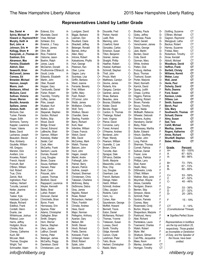#### **Representatives Listed by Letter Grade**

| Itse, Daniel ★            | A+ |
|---------------------------|----|
|                           |    |
| Sylvia, Michael ★         | A+ |
| Howard Jr, Raymond *A+    |    |
|                           |    |
| Murphy, Keith ★           | A+ |
| Burt, John ★              | A+ |
|                           |    |
| Johnson, Eric ★           | A+ |
| Kellogg, Shem ★           | A+ |
|                           |    |
| Kaczynski, Jr., Thomas A+ |    |
|                           |    |
| Eastman, Eric             | A+ |
| Abramson, Max             | A+ |
|                           |    |
| Ferreira, Elizabeth       | A+ |
| Aldrich, Glen             | A+ |
|                           |    |
| Seaworth, Brian           | A+ |
|                           |    |
| McConnell, James          | A+ |
| Comeau, Ed                | A+ |
|                           |    |
| <b>Brewster, Michael</b>  | A+ |
| Hannon, Joseph            | A+ |
|                           |    |
| Moore, Josh               | A+ |
| Baldasaro, Alfred         | A+ |
|                           |    |
| McGuire, Carol            | A+ |
| Sullivan, Victoria        | A+ |
|                           |    |
| Groen, Warren             | A+ |
|                           |    |
| Bouldin, Amanda           | A+ |
| Spillane, James           | A+ |
|                           |    |
| Ammon, Keith              | A+ |
| McGuire, Dan              | A+ |
|                           |    |
| Tucker, Pamela            | A+ |
| Hogan, Edith              | A+ |
|                           |    |
| Simmons, Tammy            | A+ |
|                           |    |
| Kappler, Lawrence         | A+ |
| Fraser, Valerie           | A+ |
|                           |    |
| Bates, David              | A+ |
| Lachance, Joseph          | A+ |
|                           |    |
| Beaudoin, Steven          | A  |
|                           | A  |
| Rice, Kimberly            |    |
| Goulette, William         | A  |
|                           |    |
| Hill, Gregory             | Α  |
| Marston, Dick             | А  |
|                           |    |
| Avellani, Lino            | Α  |
| Knowles, Robert           | А  |
|                           |    |
| French, Harold            | Α  |
| Fromuth, Bart             | Α  |
|                           |    |
| O'Brien, William          | А  |
| Hull, Robert              | А  |
|                           |    |
| True, Chris               | А  |
|                           |    |
| Zaricki, Nick             | Α  |
| Ingbretson, Paul          | Α  |
|                           |    |
| Vadney, Herbert           | Α  |
| Turcotte, Leonard         | Α  |
|                           |    |
| Notter, Jeanine           | А  |
| Hoell, JR                 | Α  |
|                           |    |
| Tasker, Kyle              | А  |
| Halstead, Carolyn         | А  |
|                           |    |
| Marple, Richard           | А  |
| Edelblut, Frank           | Α  |
|                           |    |
| Cordelli, Glenn           | Α  |
|                           |    |
| Duarte, Joe               | Α  |
| Whitehouse, Joshua        | А  |
|                           |    |
| Rideout, Leon             | Α  |
| Harris, Jeffrey           | Α  |
|                           |    |
| Hodgdon, Bruce            | А- |
| Christie, Rick            | А- |
|                           |    |
| Cheney, Catherine         | А- |
| Kuch, Bill                | А- |
|                           |    |
| McLean, Mark              | А- |
|                           | А- |
| Thomas, Douglas           |    |
| Wright, Ted               | А- |
| Schroadter, Adam          | А- |
|                           |    |

A+ A+ Estevez, Eric A-Murotake, David A-Vose, Michael A-Schleien, Eric A-Emerick, J. Tracy A-Parison, James A-Ohm, Bill A-Rice, Frederick A-Osborne, Jason A-Boehm, Ralph A-Jones, Laura A-McClarren, Donald A-Prudhomme-O'Brien,K. A-Gould, Linda A-Edwards, Elizabeth A-Martin, John A-Ober, Russell A-Hopper, Gary A-Tamburello, Daniel B+ Fisher, Robert B+ Twombly, Timothy B+ Coffey, James B+ Pitre, Joseph B+ Wuelper, Kurt B+ Mullen, John B+ Stepanek, Stephen B+ Gordon, Richard B+ Rollins, Skip B+ Wood, David B+ Bridge, Ernest B+ Gionet, Edmond B+ LeBreche, Shari B+ Gannon, William B+<br>Kolodziei. Walter B+ Kolodziej, Walter Seidel, Carl B+ Cook, Allen B+ McCarthy, Frank B+ Sanborn, Laurie B+ Dumais, Russell B+ Long, Douglas B+ Brown, Duane B Souza, Kathleen B Hansen, Peter B Bush, Carol B Potucek, John B Laware, Thomas B Bickford, David B Rappaport, Laurence B Weyler, Kenneth B Bailey, Brad B Luther, Robert B Donovan, Daniel B Chirichiello, Brian B Byron, Frank B Hennessey, Erin B Spanos, Peter B Adams, Christopher B Gallagher, Brian B Smith, Gregory B Horn, Werner B Darrow, Stephen B Ulery, Jordan B<br>LeBrun. Donald B-LeBrun, Donald Varney, Peter B-Belanger, James B-McCarthy, Peggy B-Danielson, David B-Christiansen, Lars B-

Lundgren, David<br>Biggie, Barbara B-Biggie, Barbara Leeman, Don B-Rouillard, Claire B-Shackett, Jeffrey B-Belanger, Ronald B-Barnes, Arthur B-Allen, Mary B-Introne, Robert B-<br>Katsakiores, Phyllis B-Katsakiores, Phyllis Hurt, George B-Peterson, Ken B-Ober, Lynne B-Gagne, Larry B-Scontsas, Lisa C+ Griffin, Barbara C+ Ward, Joanne C+ Ferrante, Beverly C+ Friel, William C+ Griffin, Mary C+ Fesh, Robert C+ O'Connor, John C+ Webb, James C+ McMahon, Charles C+ Wolf, Terry C+ Woitkun, Steven C+ Chandler, Gene C+ Sterling, Franklin C+ Barry, Richard C+ Kurk, Neal C+ Infantine, William C+ Chase, Francis C+ Welch, David C+ Milz, David C+ McConkey, Mark C+ Walsh, Thomas C+ Balcom, John C+ Hunt, John C Hagan, Joseph C Martel, Andre C Fothergill, John C Palmer, Barry C Abrami, Patrick C Guthrie, Joseph C<br>Packard, Sherman C Packard, Sherman C<br>Christensen, Chris C Christensen, Chris Takesian, Charlene C McKinney, Betsy C DeSimone, Debra C Gray, James C Nigrello, Robert C Rowe, Robert C Richardson, Herbert C<br>Tilton, Franklin C Tilton, Franklin C<br>Christie. Andrew C Christie, Andrew Hess, David C Major, Norman Pellegrino, Anthony C Azarian, Gary C-Nelson, Bill C-Smith, Steven C-<br>Hinch, Richard C-Hinch, Richard C-<br>Fields. Dennis C-Fields, Dennis Kotowski, Frank C-Umberger, Karen C-Elliott, Robert C-Sytek, John C-Sanders, Elisabeth C-

Doucette, Fred C-Parker, Harold C-Ladd, Rick C-Manning, John C-Crawford, Karel C-Gonzalez, Carlos C-Emerson, Susan C-Tilton, Benjamin C-Grenier, James C-<br>Straight. Phillip C-Straight, Phillip Haefner, Robert C-Hoelzel, Kathleen C-Schmidt, Stephen C-Tholl, John C-Proulx, Mark C-Matthews, Carolyn D+ Devine, James D+ Roberts, Kris D+ Gargasz, Carolyn D+ Gardner, Janice D+ Shaw, Barbara D+ Beaulieu, Jane D+ Booras, Efstathia D+ Kidder, David D+ Berube, Roger D+ Cardon, G. Thomas D+ Theberge, Robert D+ Irwin, Virginia D+ Pierce, David D Converse, Larry D Forest, Armand D O'Hearne, Andrew D Bordenet, John D<br>Piper. Wendy D Piper, Wendy Pearson, William D Guerette, C. Lee D Brown, Chris D Turcotte, Alan D Sprague, Dale DiFranco, Debbie D Smith, Marjorie D Massimilla, Linda D-Rice, Chip D-Ley, Douglas D-Oxenham, Lee D-French, Barbara D-Deloge, Helen D-Hatch, William D-Schmidt, Andrew D-Cilley, Jacalyn D-Roberts, Carol D-Vann, Ivy D-Cohen, Alan D-Saunderson, George D-Moffett, Howard D-Bennett, Travis D-Eaton, Daniel D-McNamara, Richard D-Thomas, Yvonne D-Treleaven, Susan D-Luneau, David D-Smith, Timothy D-Gidge, Kenneth D-Carson, Clyde D-Leishman, Peter D-Tatro, Bruce D-Herbert, Christopher D-Ratzki, Mario D-

**Bradley, Paula** D-<br>Goley, Jeffrey D-Goley, Jeffrey Francese, Paula D-Ward, Gerald **D**<br>Verschueren. James D-Verschueren, James Sykes, George D-Jack, Martin D-Borden, David D-**Cote, David** D-<br>Gorman. Marv D-Gorman, Mary White, Andrew D-Patten, Dick D-Froburg, Alethea D-Buco, Thomas D-Ticehurst, Susan D.<br>Porter. Mariorie D. Porter, Marjorie Ward, Kenneth D Karrick, David F Spang, Judith F Chase, Cynthia F Higgins, Patricia F Cushing, Robert F Brown, Pamela F Soucy, Timothy F<br>Kaen. Naida F Kaen, Naida McBeath, Rebecca F<br>Wheeler. Deborah F Wheeler, Deborah Stevens, Audrey F Hansberry, Daniel F Bixby, Peter F Hennessey, Martha F **Butler, Edward F<br>Hirsch. Geoffrey F** Hirsch, Geoffrey F<br>Cloutier. John F Cloutier, John F<br>Long. Patrick F Long, Patrick Sherman, Thomas F Cornell, Patricia F Sullivan, Daniel F<br>Frazer June F Frazer, June Lovejoy, Patricia F Phillips, Larry F Ebel, Karen F Heath, Mary F DiSilvestro, Linda F<br>O'Neil. William F O'Neil, William F<br>Wallner, Mary Jane F Wallner, Mary Jane F<br>Moynihan, Wayne F Moynihan, Wayne Alicea, Caroletta F Nordgren, Sharon F Berrien, Skip **F** Simpson, Alexis F Schmidt, Peter F Gordon, Pamela F<br>Coonev. Marv F Cooney, Mary F<br>Rosenwald, Cindy F Rosenwald, Cindy Burton, Wayne F<br>Shepardson, Mariorie F Shepardson, Marjorie Parkhurst, Henry F Abel, Richard F Pantelakos, Laura F Townsend, Charles F<br>Walsh, Robert F Walsh, Robert F<br>Myler. Mel F Myler, Mel Shattuck, Gilman F Cali-Pitts, Jacqueline F Maes, Kevin F Manley, Jonathan CT Horrigan, Timothy CT

| 1<br>$\overline{\phantom{a}}$<br>$\ddot{\phantom{a}}$<br> <br> <br> <br> <br> <br> <br> | Gottling, Suzanne<br>O'Brien, Michael<br>Gagnon, Raymond<br>Mangipudi, Latha<br>Backus, Robert<br>Harvey, Suzanne<br>Freitas, Mary<br>Robertson, Timothy<br>Snow, Kendall<br>Abbott, Michael<br>Woodbury, David<br>Heffron, Frank<br><b>Bartlett, Christy</b><br>Williams, Kermit<br>Weber, Lucy<br>Wall, Janet<br>Henle, Paul<br>Doherty, David<br>Rollo, Deanna<br>Ford, Susan<br>Kenison, Linda<br>DiSesa, Len<br>Smith, Suzanne<br>Berch, Paul<br>Gile, Mary<br>Southworth, Thomas<br>Schuett, Dianne<br>Almy, Susan<br>Sad, Tara<br>Cahill, Michael<br>MacKay, James<br>Rogers, Katherine<br>Ames, Richard<br>Shurtleff, Stephen<br>Baber, William |                                                     | CT<br>СT<br>СT<br>CT<br>CT<br>CT<br>СT<br>СT<br>CT<br>CT<br>CT<br>СT<br>CT<br>CT<br>СT<br>CT<br>СT<br>СT<br>CT<br>СT<br>СT<br>СT<br>CT<br>CT<br>СT<br>CT<br>CT<br>CT<br>CT<br>СT<br>CT<br>CT<br>CT<br>CT<br>СT |
|-----------------------------------------------------------------------------------------|---------------------------------------------------------------------------------------------------------------------------------------------------------------------------------------------------------------------------------------------------------------------------------------------------------------------------------------------------------------------------------------------------------------------------------------------------------------------------------------------------------------------------------------------------------------------------------------------------------------------------------------------------------|-----------------------------------------------------|----------------------------------------------------------------------------------------------------------------------------------------------------------------------------------------------------------------|
|                                                                                         | <u>Grade_</u><br>A+<br>Α<br>A-                                                                                                                                                                                                                                                                                                                                                                                                                                                                                                                                                                                                                          | <b>Percent</b><br>93 - 100%<br>87 - 92%<br>80 - 86% |                                                                                                                                                                                                                |
|                                                                                         | B+<br>В<br>В-                                                                                                                                                                                                                                                                                                                                                                                                                                                                                                                                                                                                                                           | 73 - 79%<br>67 - 72%<br>60 - 66%                    |                                                                                                                                                                                                                |
|                                                                                         | C+<br>C.<br>C-                                                                                                                                                                                                                                                                                                                                                                                                                                                                                                                                                                                                                                          | 53 - 59%<br>47 - 52%<br>40 - 46%                    |                                                                                                                                                                                                                |
|                                                                                         | D+<br>D<br>D-                                                                                                                                                                                                                                                                                                                                                                                                                                                                                                                                                                                                                                           | 33 - 39%<br>$27 - 32\%$<br>20 - 26%                 |                                                                                                                                                                                                                |
|                                                                                         | F                                                                                                                                                                                                                                                                                                                                                                                                                                                                                                                                                                                                                                                       | 15 - 19%                                            |                                                                                                                                                                                                                |
|                                                                                         | CT<br>(Constitutional Threat)                                                                                                                                                                                                                                                                                                                                                                                                                                                                                                                                                                                                                           | 0 - 14%                                             |                                                                                                                                                                                                                |
|                                                                                         | <b>★ Signifies Perfect Score</b>                                                                                                                                                                                                                                                                                                                                                                                                                                                                                                                                                                                                                        |                                                     |                                                                                                                                                                                                                |
|                                                                                         | Representatives in boldface<br>are the top and bottom 25,<br>respectively. Those graded<br>as Incomplete or Dereliction<br>of Duty, and the Speaker of<br>the House, have been                                                                                                                                                                                                                                                                                                                                                                                                                                                                          |                                                     |                                                                                                                                                                                                                |

*info@nhliberty.org* 3 *nhliberty.org*

*omitted.*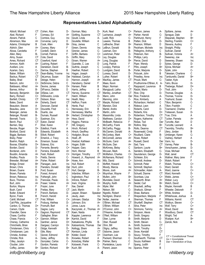#### **Representatives Listed Alphabetically**

| Abbott, Michael                          | CТ              |
|------------------------------------------|-----------------|
| Abel, Richard                            | F               |
| Abrami, Patrick                          | C               |
| Abramson, Max<br>Adams, Christopher      | A+<br>B         |
| Aldrich, Glen                            | A+              |
| Alicea, Caroletta                        | F               |
| Allen, Mary                              | В-              |
| Almy, Susan                              | CT              |
| Ames, Richard                            | СT              |
| Ammon, Keith                             | A+              |
| Avellani, Lino                           | A               |
| Azarian, Gary                            | C-              |
| Baber, William                           | СT              |
| Backus, Robert                           | СT              |
| Bailey, Brad                             | В               |
| Balcom, John                             | C+              |
| Baldasaro, Alfred                        | A+              |
| Barnes, Arthur                           | B-              |
| Baroody, Benjamin                        | De              |
| Barry, Richard<br>Bartlett, Christy      | C+<br><b>CT</b> |
| Bates, David                             | A+              |
| Beaudoin, Steven                         | A               |
| Beaulieu, Jane                           | D+              |
| Belanger, James                          | B-              |
| Belanger, Ronald                         | В-              |
| Bennett, Travis                          | D-              |
| Berch, Paul                              | CТ              |
| Berrien, Skip                            | F               |
| Berube, Roger                            | D+              |
| Bickford, David                          | В               |
| Biggie, Barbara                          | В-              |
| Bixby, Peter                             | F.              |
| Boehm, Ralph                             | А-              |
| Booras, Efstathia                        | D+              |
| Borden, David                            | D-              |
| Bordenet, John                           | D               |
| Bouldin, Amanda                          | A+              |
| Bradley, Paula                           | D-<br>A+        |
| Brewster, Michael<br>Bridge, Ernest      | В÷              |
| Brown, Chris                             | D               |
| Brown, Duane                             | $\mathsf{B}$    |
| Brown, Pamela                            | F.              |
| Brown, Rebecca                           | Inc             |
| Buco, Thomas                             | D-              |
| Burt, John                               | A+              |
| Burton, Wayne                            | F               |
| Bush, Carol                              | B               |
| Butler, Edward                           | F               |
| Byron, Frank                             | В               |
| Cahill, Michael                          | СT              |
| Cali-Pitts, Jacqueline                   | F               |
| Cardon, G. Thomas                        | D+              |
| Carson, Clyde                            | D-              |
| Chandler, Gene                           | C+              |
| Chase, Cynthia                           | F               |
| Chase, Francis                           | C+              |
| Cheney, Catherine                        | А-              |
| Chirichiello, Brian                      | B<br>C          |
| Christensen, Chris<br>Christiansen, Lars | В-              |
| Christie, Andrew                         | С               |
| Christie, Rick                           | А-              |
| Cilley, Jacalyn                          | D-              |
| Cloutier, John                           | F               |
| Coffey, James                            | B+              |
|                                          |                 |

CT CT<br>CT CT Baroody, Benjamin Der DiSesa, Len CT  $C+$ CT  $A+$ CT C+ Cohen, Alan D-Comeau, Ed A+ Comtois, Guy Inc. Converse, Larry D Cook, Allen B+ Cooney, Mary F Cordelli, Glenn A Cornell, Patricia F Cote, David<br>Crawford. Karel C-Crawford, Karel Cushing, Robert F Danielson, David B-Darrow, Stephen B Dean-Bailey, Yvonne Inc DeLemus, Susan Der Deloge, Helen D-DeSimone, Debra C Devine, James D+ DiFranco, Debbie D DiSilvestro, Linda F Dobson, Brian Inc. Doherty, David CT Donovan, Daniel B Doucette, Fred C-Duarte, Joe A Dumais, Russell B+ Eastman, Eric A+ Eaton, Daniel D-Ebel, Karen F Edelblut, Frank A Edwards, Elizabeth A-Elliott, Robert C-Emerick, J. Tracy A-<br>Emerson. Susan C-Emerson, Susan Estevez, Eric A-Ferrante, Beverly C+ Ferreira, Elizabeth A+<br>Fesh. Robert C+  $Fesh$ , Robert Fields, Dennis C-Fisher, Robert B+ Flanagan, Jack Inc Flanders, Donald Der Ford, Susan CT Forest, Armand D<br>Fothergill, John C Fothergill, John Francese, Paula D-Fraser, Valerie A+ Frazer, June F Freitas, Mary CT French, Barbara D-French, Harold A Friel, William C+ Froburg, Alethea D-Fromuth, Bart A Gagne, Larry B-<br>Gagnon, Raymond CT Gagnon, Raymond Gallagher, Brian B Gannon, William B+ Gardner, Janice D+ Gargasz, Carolyn D+ Gidge, Kenneth D-<br>Gile. Marv CT Gile, Mary Gionet, Edmond B+ Goley, Jeffrey D-Gonzalez, Carlos C-Gordon, Pamela F Gordon, Richard B+

Gorman, Mary **D**-<br>Gottling. Suzanne **CT** Gottling, Suzanne Gould, Linda A-Goulette, William A<br>Grav. James C Gray, James Green, Dennis Inc Grenier, James C-Griffin, Barbara C+ Griffin, Mary C+ Groen, Warren A+ Guerette, C. Lee D Guthrie, Joseph C Haefner, Robert C-Hagan, Joseph C Halstead, Carolyn A Hannon, Joseph A+ Hansberry, Daniel F Hansen, Peter B Harris, Jeffrey A Harvey, Suzanne CT Hatch, William D-Heath, Mary F Heffron, Frank CT Henle, Paul **CT** Hennessey, Erin B Hennessey, Martha F Herbert, Christopher D-Hess, David C Higgins, Patricia F Hill, Gregory A Hinch, Richard C-Hirsch, Geoffrey F Hodgdon, Bruce A-Hoell, JR<br>Hoelzel. Kathleen C-Hoelzel, Kathleen Hogan, Edith A+ Hopper, Gary A-Horn, Werner B Horrigan, Timothy CT Howard, Jr., Raymond A+ Howe, Ann Inc Hull, Robert A Hunt, John C Hurt, George B-Infantine, William C+ Ingbretson, Paul A Introne, Robert B-Irwin, Virginia D+ Itse, Daniel A+ Jack, Martin D-Jasper, Shawn Speaker Jeudy, Jean Inc Johnsen, Gladys Der Johnson, Eric A+ Jones, Laura A-Kaczynski, Jr., Thomas A+ Kaen, Naida F Kappler, Lawrence A+ Karrick, David F Katsakiores, Phyllis B-Katsiantonis, Thomas Der Kellogg, Shem A+<br>Kenison. Linda CT Kenison, Linda Kidder, David D+ Knowles, Robert A Kolodziej, Walter B+ Kotowski, Frank C-Kuch, Bill A-

Kurk, Neal Lachance, Joseph Ladd, Rick Laware, Thomas LeBreche, Shari LeBrun, Donald Leeman, Don Leishman, Peter Ley, Douglas Long, Douglas Long, Patrick Lovejoy, Patricia Lundgren, David Luneau, David Luther, Robert MacKay, James Maes, Kevin Major, Norman Mangipudi, Latha Manley, Jonathan Mann, John Manning, John Marple, Richard Marston, Dick Martel, Andre Martin, John Massimilla, Linda Matthews, Carolyn McBeath, Rebecca McCarthy, Frank McCarthy, Peggy McClarren, Donald McConkey, Mark McConnell, James McGuire, Carol McGuire, Dan McKinney, Betsy McLean, Mark McMahon, Charles McNamara, Richard Milz, David Moffett, Howard Moody, Marcia Moore, Josh Moynihan, Wayne Mullen, John B+ Murotake, David Murphy, Keith Myler, Mel Nelson, Bill Nigrello, Robert Nordgren, Sharon Notter, Jeanine O'Brien, Michael O'Brien, William O'Connor, John O'Hearne, Andrew O'Neil, William F Ober, Lynne Ober, Russell Ohm, Bill Oligny, Jeffrey Osborne, Jason Oxenham, Lee Packard, Sherman Palmer, Barry Pantelakos, Laura Parent, Jason

| C+        | Parison, James        | А-  |
|-----------|-----------------------|-----|
| A+        | Parker, Harold        | C-  |
| С-        | Parkhurst, Henry      | F.  |
| B         | Patten, Dick          | D-  |
|           |                       |     |
| B+        | Pearson, William      | D   |
| В-        | Peckham, Michele      | Inc |
| В-        | Pellegrino, Anthony   | С   |
|           |                       |     |
| D-        | Peterson, Ken         | В-  |
| D-        | Phillips, Larry       | F   |
| B+        | Pierce, David         | D   |
| F         |                       | D   |
|           | Piper, Wendy          |     |
| F         | Pitre, Joseph         | В÷  |
| В-        | Porter, Marjorie      | D-  |
| D-        | Potucek, John         | B   |
| B         |                       |     |
|           | Priestley, Anne       | Inc |
| <b>CT</b> | Proulx, Mark          | C-  |
| F         | Prudhomme-O'Brien, K. | А-  |
| C         | Rappaport, Laurence   | B   |
|           |                       |     |
| CT        | Ratzki, Mario         | D-  |
| <b>CT</b> | Rice, Chip            | D-  |
| Der       | Rice, Frederick       | A-  |
| C-        | Rice, Kimberly        | А   |
|           |                       |     |
| Α         | Richardson, Herbert   | С   |
| Α         | Rideout, Leon         | Α   |
| С         | Roberts, Carol        | D-  |
| A-        |                       |     |
|           | Roberts, Kris         | D+  |
| D-        | Robertson, Timothy    | СT  |
| D+        | Rogers, Katherine     | СT  |
| F         | Rokas, Ted            | Der |
|           |                       |     |
| B+        | Rollins, Skip         | B+  |
| В-        | Rollo, Deanna         | СT  |
| А-        | Rosenwald, Cindy      | F   |
| C+        | Rouillard, Claire     | В-  |
|           |                       |     |
| A+        | Rowe, Robert          | С   |
| A+        | Russell, David        | Der |
| A+        | Sad, Tara             | СT  |
| С         | Sanborn, Laurie       | В÷  |
|           |                       |     |
| А-        | Sanders, Elisabeth    | C-  |
| C+        | Saunderson, George    | D-  |
| D-        | Schleien, Eric        | А-  |
| C+        | Schmidt, Andrew       | D-  |
|           |                       |     |
| D-        | Schmidt, Peter        | F   |
| Inc       | Schmidt, Stephen      | C-  |
| A+        | Schroadter, Adam      | А-  |
| F         | Schuett, Dianne       | СT  |
|           |                       |     |
| В÷        | Scontsas, Lisa        | C+  |
| A-        | Seaworth, Brian       | A+  |
| A+        | Seidel, Carl          | B+  |
| F         | Shackett, Jeffrey     | В-  |
|           |                       |     |
| C-        | Shattuck, Gilman      | F   |
| С         | Shaw, Barbara         | D+  |
| F         | Shepardson, Marjorie  | F   |
| Α         | Sherman, Thomas       | F   |
|           |                       |     |
| СT        | Shurtleff, Stephen    | СT  |
| Α         | Silva, Peter          | Inc |
| C+        | Simmons, Tammy        | A+  |
| D         | Simpson, Alexis       | F   |
|           |                       |     |
| F         | Smith, Gregory        | B   |
| В-        | Smith, Marjorie       | D   |
| А-        | Smith, Steven         | C-  |
| A-        | Smith, Suzanne        | CT  |
|           |                       |     |
| Inc       | Smith, Timothy        | D-  |
| A-        | Snow, Kendall         | СT  |
| D-        | Soucy, Timothy        | F   |
| С         | Southworth, Thomas    | СT  |
|           |                       |     |
|           | Souza, Kathleen       | В   |
|           | Spang, Judith         | F   |
| Inc       | Spanos, Peter         | B   |

| , K.<br>Э | А-<br>C-<br>F<br>D-<br>D<br>Inc<br>С<br>В-<br>F<br>D<br>D<br>B+<br>D-<br>B<br>Inc<br>C-<br>A-<br>B<br>D- | Spillane, James<br>Sprague, Dale<br>Stepanek, Stephen<br>Sterling, Franklin<br>Stevens, Audrey<br>Straight, Phillip<br>Sullivan, Daniel<br>Sullivan, Victoria<br>Sweeney, Joe<br>Sweeney, Shawn<br>Sykes, George<br>Sylvia, Michael<br>Sytek, John<br>Takesian, Charlene<br>Tamburello, Daniel<br>Tasker, Kyle<br>Tatro, Bruce<br>Theberge, Robert<br>Tholl, John | A+<br>D<br>B+<br>C+<br>F<br>C-<br>F<br>A+<br>Inc<br>Inc<br>D-<br>A+<br>C-<br>C<br>B+<br>A<br>D-<br>D+<br>C- |
|-----------|----------------------------------------------------------------------------------------------------------|-------------------------------------------------------------------------------------------------------------------------------------------------------------------------------------------------------------------------------------------------------------------------------------------------------------------------------------------------------------------|-------------------------------------------------------------------------------------------------------------|
|           | D-<br>A-<br>Α<br>С<br>Α<br>D-<br>D+<br><b>CT</b><br>СT<br>Der<br>B+<br>СT<br>F<br>В-                     | Thomas, Douglas<br>Thomas, Yvonne<br>Ticehurst, Susan<br>Tilton, Benjamin<br>Tilton, Franklin<br>Townsend, Charles<br>Treleaven, Susan<br>True, Chris<br>Tucker, Pamela<br>Turcotte, Alan<br>Turcotte, Leonard<br>Twombly, Timothy<br>Ulery, Jordan<br>Umberger, Karen                                                                                            | А-<br>D-<br>D-<br>C-<br>С<br>F<br>D-<br>Α<br>A+<br>D<br>Α<br>B+<br>B<br>C-                                  |
| €         | C<br>Der<br>СT<br>В÷<br>C-<br>D-<br>А-<br>D-<br>F.<br>C-<br>А-                                           | Vadney, Herbert<br>Vann, Ivy<br>Varney, Peter<br>Verschueren, James<br>Vose, Michael<br>Wall, Janet<br>Wallner, Mary Jane<br>Walsh, Robert<br>Walsh, Thomas<br>Ward, Gerald<br>Ward, Joanne                                                                                                                                                                       | Α<br>D-<br>В-<br>D-<br>А-<br>СT<br>F<br>F<br>C+<br>D-<br>$C+$<br>D-                                         |
| е         | СT<br>C+<br>A+<br>B+<br>В-<br>F<br>D+<br>F<br>F<br>СT<br>Inc<br>A+<br>F<br>B<br>D<br>C-<br>СT<br>D-      | Ward, Kenneth<br>Webb, James<br>weber, Lucy<br>Welch, David<br>Weyler, Kenneth<br>Wheeler, Deborah<br>White, Andrew<br>Whitehouse, Joshua<br>Williams, Kermit<br>Woitkun, Steven<br>Wolf, Terry<br>Wood, David<br>Woodbury, David<br>Wright, Ted<br>Wuelper, Kurt<br>Zaricki, Nick                                                                                | C+<br>UΙ<br>C+<br>B<br>F<br>D-<br>А<br>CT<br>C+<br>C+<br>B+<br>СT<br>А-<br>B+<br>А                          |
| ;         | СT<br>F<br>СT<br>В<br>F<br>B                                                                             | CT = Constitutional Threat<br>Inc = Incomplete<br>Der = Dereliction of Duty                                                                                                                                                                                                                                                                                       |                                                                                                             |
|           |                                                                                                          | nhlihart                                                                                                                                                                                                                                                                                                                                                          |                                                                                                             |

*info@nhliberty.org* 4 *nhliberty.org*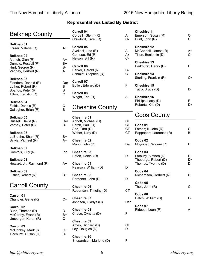| <b>Belknap County</b>                                                              |                      | <b>Carroll 04</b><br>Cordelli, Glenn (R)                                                             | A                      |
|------------------------------------------------------------------------------------|----------------------|------------------------------------------------------------------------------------------------------|------------------------|
| <b>Belknap 01</b><br>Fraser, Valerie (R)<br><b>Belknap 02</b><br>Aldrich, Glen (R) | A+<br>A+             | Crawford, Karel (R)<br><b>Carroll 05</b><br>Avellani, Lino (R)<br>Comeau, Ed (R)<br>Nelson, Bill (R) | $C -$<br>A<br>A+<br>C- |
| Dumais, Russell (R)<br>Hurt, George (R)<br>Vadney, Herbert (R)                     | B+<br><b>B-</b><br>A | <b>Carroll 06</b><br>Parker, Harold (R)<br>Schmidt, Stephen (R)                                      | $C -$<br>C-            |
| Belknap 03<br>Flanders, Donald (R)<br>Luther, Robert (R)<br>Spanos, Peter (R)      | Der<br>В<br>B        | <b>Carroll 07</b><br>Butler, Edward (D)                                                              | F                      |
| Tilton, Franklin (R)                                                               | C                    | <b>Carroll 08</b><br>Wright, Ted (R)                                                                 | А-                     |
| Belknap 04<br>Fields, Dennis (R)<br>Gallagher, Brian (R)                           | C-<br>B              | <b>Cheshire County</b>                                                                               |                        |
| Belknap 05<br>Russell, David (R)<br>Varney, Peter (R)                              | Der<br>B-            | <b>Cheshire 01</b><br>Abbott, Michael (D)<br>Berch, Paul (D)<br>Sad, Tara (D)                        | СT<br><b>CT</b><br>CT  |
| Belknap 06<br>LeBreche, Shari (R)<br>Sylvia, Michael (R)                           | B+<br>A+             | Weber, Lucy (D)<br><b>Cheshire 02</b><br>Mann, John (D)                                              | <b>CT</b><br>Der       |
| Belknap 07<br>Comtois, Guy (R)                                                     | Inc                  | <b>Cheshire 03</b><br>Eaton, Daniel (D)                                                              | D-                     |
| Belknap 08<br>Howard, Jr., Raymond (R)                                             | A+                   | <b>Cheshire 04</b><br>Pearson, William (D)                                                           | D                      |
| Belknap 09<br>Fisher, Robert (R)                                                   | B+                   | <b>Cheshire 05</b><br>Bordenet, John (D)                                                             | D                      |
| <b>Carroll County</b>                                                              |                      | <b>Cheshire 06</b><br>Robertson, Timothy (D)                                                         | СT                     |
| <b>Carroll 01</b><br>Chandler, Gene (R)                                            | C+                   | <b>Cheshire 07</b><br>Johnsen, Gladys (D)                                                            | Der                    |
| <b>Carroll 02</b><br>Buco, Thomas (D)<br>McCarthy, Frank (R)                       | D-<br>B+             | <b>Cheshire 08</b><br>Chase, Cynthia (D)                                                             | F                      |
| Umberger, Karen (R)<br><b>Carroll 03</b><br>McConkey, Mark (R)                     | $C -$<br>C+          | <b>Cheshire 09</b><br>Ames, Richard (D)<br>Ley, Douglas (D)                                          | <b>CT</b><br>D-        |
| Ticehurst, Susan (D)                                                               | D-                   | <b>Cheshire 10</b><br>Shepardson, Marjorie (D)                                                       | F                      |

| <b>Cheshire 11</b><br>Emerson, Susan (R)<br>Hunt, John (R)         | C-       |
|--------------------------------------------------------------------|----------|
| <b>Cheshire 12</b><br>McConnell, James (R)<br>Tilton, Benjamin (D) | A+<br>C- |
| <b>Cheshire 13</b><br>Parkhurst, Henry (D)                         | F        |
| <b>Cheshire 14</b><br>Sterling, Franklin (R)                       | ∴+       |
| <b>Cheshire 15</b><br>Tatro, Bruce (D)                             |          |
| <b>Cheshire 16</b><br>Phillips, Larry (D)<br>Roberts, Kris (D)     |          |

### Coös County

| Coös <sub>01</sub><br>Fothergill, John (R)<br>Rappaport, Laurence (R)                    | С<br>B         |
|------------------------------------------------------------------------------------------|----------------|
| Coös 02<br>Moynihan, Wayne (D)                                                           | F              |
| Coös <sub>03</sub><br>Froburg, Alethea (D)<br>Theberge, Robert (D)<br>Thomas, Yvonne (D) | D-<br>D+<br>D- |
| Coös <sub>04</sub><br>Richardson, Herbert (R)                                            | С              |
| Coös <sub>05</sub><br>Tholl, John (R)                                                    | ∩.             |
| Coös 06<br>Hatch, William (D)                                                            | D-             |
| Coös <sub>07</sub><br>Rideout, Leon (R)                                                  | А              |
|                                                                                          |                |
|                                                                                          |                |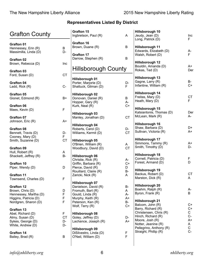| <b>Grafton County</b>                          |                 | <b>Grafton 15</b><br>Ingbretson, Paul (R)                  | A               | Hillsborough 10<br>Jeudy, Jean (D)<br>Long, Patrick (D) | Inc<br>F.             |
|------------------------------------------------|-----------------|------------------------------------------------------------|-----------------|---------------------------------------------------------|-----------------------|
| <b>Grafton 01</b><br>Hennessey, Erin (R)       | B<br>D-         | <b>Grafton 16</b><br>Brown, Duane (R)                      | B               | Hillsborough 11<br>Edwards, Elizabeth (D)               | A-                    |
| Massimilla, Linda (D)                          |                 | <b>Grafton 17</b><br>Darrow, Stephen (R)                   | B               | Walsh, Robert (D)                                       | F                     |
| <b>Grafton 02</b><br>Brown, Rebecca (D)        | Inc             |                                                            |                 | <b>Hillsborough 12</b><br>Bouldin, Amanda (D)           | A+                    |
| <b>Grafton 03</b><br>Ford, Susan (D)           | <b>CT</b>       | <b>Hillsborough County</b>                                 |                 | Rokas, Ted (D)                                          | Der                   |
|                                                |                 | Hillsborough 01                                            |                 | <b>Hillsborough 13</b><br>Gagne, Larry (R)              | B-                    |
| <b>Grafton 04</b><br>Ladd, Rick (R)            | $C-$            | Porter, Marjorie (D)<br>Shattuck, Gilman (D)               | D-<br>F         | Infantine, William (R)                                  | $C+$                  |
| <b>Grafton 05</b><br>Gionet, Edmond (R)        | B+              | Hillsborough 02<br>Donovan, Daniel (R)<br>Hopper, Gary (R) | B<br>A-         | Hillsborough 14<br>Freitas, Mary (D)<br>Heath, Mary (D) | <b>CT</b><br>F.       |
| <b>Grafton 06</b><br>Maes, Kevin (D)           | F               | Kurk, Neal (R)                                             | $C+$            | Hillsborough 15                                         |                       |
| <b>Grafton 07</b>                              |                 | Hillsborough 03<br>Manley, Jonathan (D)                    | <b>CT</b>       | Katsiantonis, Thomas (D)<br>McLean, Mark (R)            | Der<br>A-             |
| Johnson, Eric (R)                              | A+              | Hillsborough 04                                            |                 | Hillsborough 16                                         |                       |
| <b>Grafton 08</b><br>Bennett, Travis (D)       | D-              | Roberts, Carol (D)<br>Williams, Kermit (D)                 | D-<br><b>CT</b> | Shaw, Barbara (D)<br>Sullivan, Victoria (R)             | D+<br>A+              |
| Cooney, Mary (D)                               | F               |                                                            |                 |                                                         |                       |
| Smith, Suzanne (D)                             | <b>CT</b>       | Hillsborough 05<br>O'Brien, William (R)                    | A               | <b>Hillsborough 17</b><br>Simmons, Tammy (R)            | $A+$                  |
| <b>Grafton 09</b>                              |                 | Woodbury, David (D)                                        | <b>CT</b>       | Smith, Timothy (D)                                      | D-                    |
| Hull, Robert (R)                               | A               |                                                            |                 | <b>Hillsborough 18</b>                                  |                       |
| Shackett, Jeffrey (R)                          | B-              | Hillsborough 06<br>Christie, Rick (R)                      | A-              | Cornell, Patricia (D)                                   | F                     |
| <b>Grafton 10</b>                              |                 | Griffin, Barbara (R)                                       | $C+$            | Forest, Armand (D)                                      | D                     |
| Piper, Wendy (D)                               | D               | Pierce, David (R)                                          | $\mathsf D$     |                                                         |                       |
|                                                |                 | Rouillard, Claire (R)                                      | <b>B-</b>       | Hillsborough 19<br>Backus, Robert (D)                   | <b>CT</b>             |
| <b>Grafton 11</b><br>Townsend, Charles (D)     | F               | Zaricki, Nick (R)                                          | $\overline{A}$  | Marston, Dick (R)                                       | A                     |
|                                                |                 | Hillsborough 07                                            |                 | <b>Hillsborough 20</b>                                  |                       |
| <b>Grafton 12</b>                              |                 | Danielson, David (R)                                       | <b>B-</b>       | Boehm, Ralph (R)                                        | A-                    |
| Brown, Chris (D)                               | D               | Fromuth, Bart (R)                                          | A<br>А-         | Byron, Frank (R)                                        | B                     |
| Hennessey, Martha (D)<br>Higgins, Patricia (D) | F<br>F          | Gould, Linda (R)<br>Murphy, Keith (R)                      | A+              |                                                         |                       |
| Nordgren, Sharon (D)                           | F               | Peterson, Ken (R)                                          | <b>B-</b>       | Hillsborough 21                                         |                       |
|                                                |                 | Wolf, Terry (R)                                            | $C+$            | Balcom, John (R)<br>Barry, Richard (R)                  | C+<br>$C+$            |
| <b>Grafton 13</b>                              |                 |                                                            |                 | Christensen, Chris (R)                                  | $\mathsf{C}$          |
| Abel, Richard (D)<br>Almy, Susan (D)           | F.<br><b>CT</b> | Hillsborough 08<br>Goley, Jeffrey (D)                      | D-              | Hinch, Richard (R)                                      | $C -$                 |
| Sykes, George (D)                              | D-              | Lachance, Joseph (R)                                       | $A+$            | Moore, Josh (R)                                         | $A+$                  |
| White, Andrew (D)                              | D-              |                                                            |                 | Notter, Jeanine (R)                                     | A                     |
|                                                |                 | Hillsborough 09                                            |                 | Pellegrino, Anthony (R)                                 | $\mathsf{C}$<br>$C -$ |
| <b>Grafton 14</b>                              |                 | DiSilvestro, Linda (D)                                     | $\mathsf F$     | Straight, Phillip (R)                                   |                       |
| Bailey, Brad (R)                               | B               | O'Neil, William (D)                                        | $\mathsf F$     |                                                         |                       |
|                                                |                 |                                                            |                 |                                                         |                       |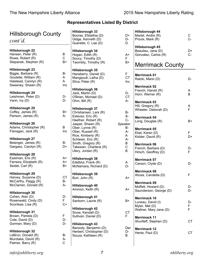#### **Representatives Listed By District** Hillsborough County *cont'd.* **Hillsborough 22** Hansen, Peter (R) B<br>Rowe. Robert (R) C Rowe, Robert (R) Stepanek, Stephen (R) B+ **Hillsborough 23** Biggie, Barbara (R) B-Goulette, William (R) A Halstead, Carolyn (R) A Sweeney, Shawn (R) **Inc. Hillsborough 24** Leishman, Peter (D) D-<br>Vann. Ivv (D) D-Vann,  $Ivy$   $(D)$ **Hillsborough 25** Coffey, James  $(R)$   $B+$ Parison, James (R) A-**Hillsborough 26** Adams, Christopher (R) B  $F$ lanagan, Jack  $(R)$  Inc **Hillsborough 27** Belanger, James (R) B-Gargasz, Carolyn (R) D+ **Hillsborough 28** Eastman, Eric (R) 64 Ferreira, Elizabeth (R) A+ Seidel, Carl (R) B+ **Hillsborough 29** Harvey, Suzanne (D) CT McCarthy,  $Peggy(R)$  B-McClarren, Donald (R) A-**Hillsborough 30** Cohen, Alan (D) D-Rosenwald, Cindy (D) F<br>Scontsas, Lisa (R) 6. Scontsas, Lisa  $(R)$ **Hillsborough 31** Brown, Pamela (D) F<br>Cote. David (D) F Cote, David  $(D)$ Gorman, Mary (D) D-**Hillsborough 32** LeBrun, Donald (R) B-Murotake, David (R) <br>Palmer. Barry (R) C Palmer, Barry (R) **Hillsborough 33** Booras, Efstathia (D) D+ Gidge, Kenneth (D) Guerette, C. Lee (D) D **Hillsborough 34** Hogan, Edith (R)  $A+$ Soucy, Timothy (D) F Twombly, Timothy (R) B+ **Hillsborough 35** Hansberry, Daniel (D) F Mangipudi, Latha (D) CT Silva, Peter (R) and Inc. **Hillsborough 36** Jack, Martin (D) D-<br>O'Brien. Michael (D) CT O'Brien, Michael (D) Ohm, Bill (R) A-**Hillsborough 37** Christiansen, Lars (R) B-Estevez, Eric (R) A-Haefner, Robert (R) C-Jasper, Shawn (R) *Speaker* Ober, Lynne (R) B-Ober, Russell (R) A-Rice, Kimberly (R) A<br>Schleien. Eric (R) A-Schleien, Eric (R) Smith, Gregory (R) B Takesian, Charlene (R) C<br>Ulerv. Jordan (R) B Ulery, Jordan (R) **Hillsborough 38** Edelblut, Frank (R) A McNamara, Richard (D) D-**Hillsborough 39** Burt, John (R) A+ **Hillsborough 40** Ammon, Keith (R) **A**+ **Hillsborough 41** Sanborn, Laurie (R) B+ **Hillsborough 42** Snow, Kendall (D) CT Sullivan, Daniel (D) F **Hillsborough 43** Baroody, Benjamin (D) Der<br>Herbert, Christopher (D) D-Herbert, Christopher (D) D-<br>Souza, Kathleen (R) B Souza, Kathleen (R) B **Hillsborough 44** Martel, Andre (R) C<br>Proulx, Mark (R) C-Proulx, Mark  $(R)$ **Hillsborough 45** Beaulieu, Jane (D) D+ Gonzalez, Carlos (R) C-Merrimack County **Merrimack 01** Ratzki, Mario (D) D-**Merrimack 02** French, Harold (R) and A<br>Horn, Werner (R) and B Horn, Werner (R) **Merrimack 03** Hill, Gregory (R) A Wheeler, Deborah (D) F **Merrimack 04** Long, Douglas (R) B+ **Merrimack 05** Ebel, Karen (D) F<br>Kidder, David (R) F Kidder, David  $(R)$ **Merrimack 06** French, Barbara (D) D-Hirsch, Geoffrey (D) F **Merrimack 07** Carson, Clyde (D) D-**Merrimack 08** Alicea, Caroletta (D) F **Merrimack 09** Moffett, Howard (D) D-<br>Saunderson, George (D) D-Saunderson, George (D) **Merrimack 10** Luneau, David (I) D-Myler, Mel (D) F<br>Wallner, Marv Jane (D) F Wallner, Mary Jane (D) **Merrimack 11** Shurtleff, Stephen (D) CT **Merrimack 12** Henle, Paul (D) CT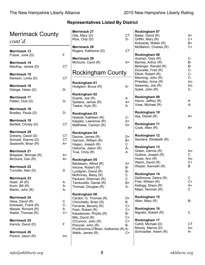| <b>Merrimack County</b><br>cont'd.                                                                                                      |                                      | <b>Merrimack 27</b><br>Gile, Mary (D)<br>Rice, Chip (D)                                                                 | <b>CT</b><br>D-                          | Rockingham 07<br>Bates, David (R)<br>Griffin, Mary (R)<br>Kolodziej, Walter (R)                                       | $A+$<br>$C+$<br>$B+$               |
|-----------------------------------------------------------------------------------------------------------------------------------------|--------------------------------------|-------------------------------------------------------------------------------------------------------------------------|------------------------------------------|-----------------------------------------------------------------------------------------------------------------------|------------------------------------|
| <b>Merrimack 13</b><br>Frazer, June (D)                                                                                                 | $\mathsf F$                          | <b>Merrimack 28</b><br>Rogers, Katherine (D)                                                                            | <b>CT</b>                                | McMahon, Charles (R)<br>Rockingham 08                                                                                 | $C+$                               |
| <b>Merrimack 14</b><br>MacKay, James (D)                                                                                                | <b>CT</b>                            | <b>Merrimack 29</b><br>McGuire, Carol (R)                                                                               | $A+$                                     | Azarian, Gary (R)<br>Barnes, Arthur (R)<br>Belanger, Ronald (R)                                                       | $C-$<br><b>B-</b><br><b>B-</b>     |
| Merrimack 15<br>Kenison, Linda (D)                                                                                                      | <b>CT</b>                            | <b>Rockingham County</b>                                                                                                |                                          | Doucette, Fred (R)<br>Elliott, Robert (R)<br>Manning, John (R)                                                        | $C-$<br>$C-$<br>$C-$               |
| <b>Merrimack 16</b><br>Deloge, Helen (D)                                                                                                | D-                                   | Rockingham 01<br>Hodgdon, Bruce (R)                                                                                     | А-                                       | Priestley, Anne (R)<br>Sweeney, Joe (R)<br>Sytek, John (R)                                                            | Inc<br>Inc<br>$C-$                 |
| <b>Merrimack 17</b><br>Patten, Dick (D)                                                                                                 | D-                                   | Rockingham 02<br>Duarte, Joe (R)<br>Spillane, James (R)<br>Tasker, Kyle (R)                                             | A<br>$A+$<br>A                           | Rockingham 09<br>Harris, Jeffrey (R)<br>Vose, Michael (R)                                                             | A<br>$A-$                          |
| <b>Merrimack 18</b><br>Bradley, Paula (D)                                                                                               | D-                                   | Rockingham 03<br>Hoelzel, Kathleen (R)                                                                                  | $C -$                                    | Rockingham 10<br>Itse, Daniel (R)                                                                                     | $A+$                               |
| <b>Merrimack 19</b><br>Bartlett, Christy (D)                                                                                            | <b>CT</b>                            | Kappler, Lawrence (R)<br>Matthews, Carolyn (R)                                                                          | A+<br>D+                                 | Rockingham 11<br>Cook, Allen (R)                                                                                      | $B+$                               |
| <b>Merrimack 20</b><br>Doherty, David (D)<br>Schuett, Dianne (D)<br>Seaworth, Brian (R)<br><b>Merrimack 21</b><br>Brewster, Michael (R) | <b>CT</b><br><b>CT</b><br>A+<br>$A+$ | Rockingham 04<br>Devine, James (R)<br>Gannon, William (R)<br>Hagan, Joseph (R)<br>Osborne, Jason (R)<br>True, Chris (R) | D+<br>$B+$<br>С<br>$A-$<br>A             | Rockingham 12<br>Sanders, Elisabeth (R)<br>Rockingham 13<br>Green, Dennis (R)<br>Guthrie, Joseph (R)<br>Howe, Ann (R) | $C-$<br>Inc<br>$\mathsf{C}$<br>Inc |
| McGuire, Dan (R)<br><b>Merrimack 22</b><br>Turcotte, Alan (D)                                                                           | A+<br>D                              | Rockingham 05<br>Baldasaro, Alfred (R)<br>Introne, Robert (R)<br>Lundgren, David (R)                                    | A+<br><b>B-</b><br><b>B-</b>             | Welch, David (R)<br>Weyler, Kenneth (R)<br>Rockingham 14                                                              | $C+$<br>B                          |
| <b>Merrimack 23</b><br>Hoell, JR (R)<br>Kuch, Bill (R)<br>Martin, John (R)                                                              | A<br>A-<br>A-                        | McKinney, Betsy (R)<br>Packard, Sherman (R)<br>Tamburello, Daniel (R)<br>Thomas, Douglas (R)                            | $\mathsf C$<br>$\mathsf C$<br>$B+$<br>А- | DeSimone, Debra (R)<br>Friel, William (R)<br>Kellogg, Shem (R)<br>Major, Norman (R)                                   | C<br>$C+$<br>A+<br>$\mathsf{C}$    |
| <b>Merrimack 24</b><br>Hess, David (R)<br>Kotowski, Frank (R)<br>Marple, Richard (R)                                                    | $\mathsf C$<br>$C-$<br>A             | Rockingham 06<br>Cardon, G. Thomas (R)<br>Chirichiello, Brian (R)<br>Ferrante, Beverly (R)                              | D+<br>B<br>$C+$                          | Rockingham 15<br>Allen, Mary (R)<br>Rockingham 16                                                                     | B-                                 |
| Walsh, Thomas (R)                                                                                                                       | $C+$                                 | Fesh, Robert (R)<br>Katsakiores, Phyllis (R)<br>Milz, David (R)                                                         | $C+$<br><b>B-</b><br>$C+$                | Nigrello, Robert (R)                                                                                                  | C                                  |
| <b>Merrimack 25</b><br>Karrick, David (D)                                                                                               | F                                    | O'Connor, John (R)<br>Potucek, John (R)<br>Prudhomme-O'Brien, Katherine (R) A-                                          | $C+$<br>B                                | Rockingham 17<br>Cahill, Michael (D)<br>Moody, Marcia (D)                                                             | <b>CT</b><br>Inc                   |
| <b>Merrimack 26</b><br>Parent, Jason (R)                                                                                                | Inc                                  | Webb, James (R)                                                                                                         | C+                                       | Schroadter, Adam (R)                                                                                                  | A-                                 |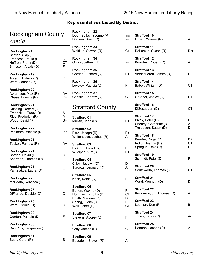| <b>Rockingham County</b><br>cont'd.                              |                      | Rockingham 32<br>Dean-Bailey, Yvonne (R)<br>Dobson, Brian (R)      | Inc<br>Inc          | <b>Strafford 10</b><br>Groen, Warren (R)                    | A+                   |
|------------------------------------------------------------------|----------------------|--------------------------------------------------------------------|---------------------|-------------------------------------------------------------|----------------------|
| Rockingham 18<br>Berrien, Skip (D)                               | F                    | Rockingham 33<br>Woitkun, Steven (R)                               | $C+$                | <b>Strafford 11</b><br>DeLemus, Susan (R)                   | Der                  |
| Francese, Paula (D)<br>Heffron, Frank (D)<br>Simpson, Alexis (D) | D-<br><b>CT</b><br>F | Rockingham 34<br>Oligny, Jeffrey (R)                               | Inc                 | <b>Strafford 12</b><br>Knowles, Robert (R)                  | A                    |
| Rockingham 19                                                    |                      | Rockingham 35<br>Gordon, Richard (R)                               | B+                  | <b>Strafford 13</b><br>Verschueren, James (D)               | D-                   |
| Abrami, Patrick (R)<br>Ward, Joanne (R)                          | $\mathsf C$<br>$C+$  | Rockingham 36<br>Lovejoy, Patricia (D)                             | F                   | <b>Strafford 14</b><br>Baber, William (D)                   | CT                   |
| Rockingham 20<br>Abramson, Max (R)<br>Chase, Francis (R)         | $A+$<br>$C+$         | Rockingham 37<br>Christie, Andrew (R)                              | $\mathsf C$         | <b>Strafford 15</b><br>Gardner, Janice (D)                  | D+                   |
| Rockingham 21<br>Cushing, Robert (D)                             | $\mathsf F$          | <b>Strafford County</b>                                            |                     | <b>Strafford 16</b><br>DiSesa, Len (D)                      | CT                   |
| Emerick, J. Tracy (R)                                            | A-                   |                                                                    |                     | <b>Strafford 17</b>                                         |                      |
| Rice, Frederick (R)<br>Wood, David (R)                           | A-<br>$B+$           | <b>Strafford 01</b><br>Mullen, John (R)                            | B+                  | Bixby, Peter (D)<br>Cheney, Catherine (R)                   | F.<br>A-             |
| Rockingham 22<br>Peckham, Michele (R)                            | Inc                  | <b>Strafford 02</b><br>Pitre, Joseph (R)<br>Whitehouse, Joshua (R) | $B+$<br>A           | Treleaven, Susan (D)<br><b>Strafford 18</b>                 | D-                   |
| Rockingham 23<br>Tucker, Pamela (R)                              | A+                   | <b>Strafford 03</b>                                                |                     | Berube, Roger (D)<br>Rollo, Deanna (D)<br>Sprague, Dale (D) | D+<br><b>CT</b><br>D |
| Rockingham 24<br>Borden, David (D)                               | D-                   | Bickford, David (R)<br>Wuelper, Kurt (R)                           | B<br>B+             | <b>Strafford 19</b>                                         |                      |
| Sherman, Thomas (D)                                              | F                    | <b>Strafford 04</b>                                                |                     | Schmidt, Peter (D)                                          | F                    |
| Rockingham 25<br>Pantelakos, Laura (D)                           | $\mathsf F$          | Cilley, Jacalyn (D)<br>Turcotte, Leonard (R)                       | D-<br>A             | <b>Strafford 20</b><br>Southworth, Thomas (D)               | <b>CT</b>            |
| Rockingham 26<br>McBeath, Rebecca (D)                            | $\mathsf F$          | <b>Strafford 05</b><br>Kaen, Naida (D)                             | $\mathsf F$         | <b>Strafford 21</b><br>Ward, Kenneth (D)                    | D-                   |
| Rockingham 27<br>DiFranco, Debbie (D)                            | D                    | <b>Strafford 06</b><br>Burton, Wayne (D)<br>Horrigan, Timothy (D)  | F<br><b>CT</b>      | <b>Strafford 22</b><br>Kaczynski, Jr., Thomas (R)           | A+                   |
| Rockingham 28<br>Ward, Gerald (D)                                | D-                   | Smith, Marjorie (D)<br>Spang, Judith (D)<br>Wall, Janet (D)        | D<br>F<br><b>CT</b> | <b>Strafford 23</b><br>Leeman, Don (R)                      | B-                   |
| Rockingham 29<br>Gordon, Pamela (D)                              | F                    | <b>Strafford 07</b><br>Stevens, Audrey (D)                         | $\mathsf F$         | <b>Strafford 24</b><br>Jones, Laura (R)                     | A-                   |
| Rockingham 30<br>Cali-Pitts, Jacqueline (D)                      | $\mathsf F$          | <b>Strafford 08</b><br>Gray, James (R)                             | $\mathsf C$         | <b>Strafford 25</b><br>Hannon, Joseph (R)                   | A+                   |
| Rockingham 31<br>Bush, Carol (R)                                 | B                    | <b>Strafford 09</b><br>Beaudoin, Steven (R)                        | A                   |                                                             |                      |
|                                                                  |                      |                                                                    |                     |                                                             |                      |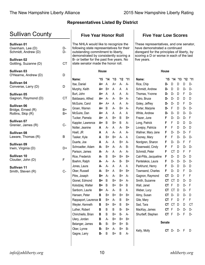| <b>Sullivan County</b>                                                |                       | <b>Five Year Honor Roll</b>                                                                                                                                                                                                                         |          |              |           |              |           | <b>Five Year Low Scores</b>                                                                                                                                                        |               |                      |        |              |           |
|-----------------------------------------------------------------------|-----------------------|-----------------------------------------------------------------------------------------------------------------------------------------------------------------------------------------------------------------------------------------------------|----------|--------------|-----------|--------------|-----------|------------------------------------------------------------------------------------------------------------------------------------------------------------------------------------|---------------|----------------------|--------|--------------|-----------|
| Sullivan 01<br>Oxenham, Lee (D)<br>Schmidt, Andrew (D)<br>Sullivan 02 | D-<br>D-<br><b>CT</b> | The NHLA would like to recognize the<br>following state representatives for their<br>outstanding commitment to liberty,<br>demonstrated by consistently scoring a<br>B- or better for the past five years. No<br>state senator made the honor roll. |          |              |           |              |           | These representatives, and one senator,<br>have demonstrated a continued<br>disregard for the principles of liberty, by<br>scoring a D or worse in each of the last<br>five years. |               |                      |        |              |           |
| Gottling, Suzanne (D)                                                 |                       |                                                                                                                                                                                                                                                     |          |              |           |              |           |                                                                                                                                                                                    |               |                      |        |              |           |
| Sullivan 03<br>O'Hearne, Andrew (D)                                   | D                     |                                                                                                                                                                                                                                                     | House    |              |           |              |           |                                                                                                                                                                                    | House         |                      |        |              |           |
|                                                                       |                       | Name:                                                                                                                                                                                                                                               | '15      | '14          | '13       | '12          | '11       | Name:                                                                                                                                                                              | '15           | '14                  | '13    |              | '12 '11   |
| Sullivan 04<br>Converse, Larry (D)                                    | D                     | Itse, Daniel<br>Murphy, Keith                                                                                                                                                                                                                       | A+<br>A+ | Α<br>$B+$    | $A+$<br>A | A-<br>A      | $A-$<br>A | Rice, Chip<br>Schmidt, Andrew                                                                                                                                                      | D-<br>D-      | D<br>D               | D<br>D | D<br>D-      | D-<br>D-  |
| Sullivan 05                                                           |                       | Burt, John                                                                                                                                                                                                                                          | A+       | A            | A         | A            | А-        | Thomas, Yvonne                                                                                                                                                                     | D-            | D-                   | D      | F            | D-        |
| Gagnon, Raymond (D)                                                   | <b>CT</b>             | Baldasaro, Alfred                                                                                                                                                                                                                                   | A+       | А-           | A-        | $B+$         | A-        | Tatro, Bruce                                                                                                                                                                       | D-            | D-                   | D      | D            | D         |
| Sullivan 06                                                           |                       | McGuire, Carol                                                                                                                                                                                                                                      | A+       | $A+$         | A         | $\mathsf{A}$ | A-        | Goley, Jeffrey                                                                                                                                                                     | D-            | D-                   | D      | $\mathsf F$  | D-        |
| Bridge, Ernest (R)                                                    | $B+$                  | Groen, Warren                                                                                                                                                                                                                                       | A+       | B            | A-        | B+           | $A-$      | Porter, Marjorie                                                                                                                                                                   | D-            | F                    | D      | D-           | D-        |
| Rollins, Skip (R)                                                     | $B+$                  | McGuire, Dan                                                                                                                                                                                                                                        | A+       | $\mathsf{A}$ | A         | A            | A         | White, Andrew                                                                                                                                                                      | D-            | D-                   | D      | D-           | D-        |
|                                                                       |                       | Tucker, Pamela                                                                                                                                                                                                                                      | A+       | $\mathsf{A}$ | B+        | B            | $B+$      | Frazer, June                                                                                                                                                                       | F             | D-                   | D-     | D-           | F         |
| Sullivan 07<br>Grenier, James (R)                                     | $C -$                 | Kappler, Lawrence                                                                                                                                                                                                                                   | A+       | B            | B+        | B            | А-        | Long, Patrick                                                                                                                                                                      | F             | F                    | D      | D            | $D-$      |
|                                                                       |                       | Notter, Jeanine                                                                                                                                                                                                                                     | A        | A-           | A         | A-           | $B+$      | Lovejoy, Patricia                                                                                                                                                                  | F             | F                    | D      | D-           | D         |
| Sullivan 08                                                           |                       | Hoell, JR                                                                                                                                                                                                                                           | A        | A            | A-        | A            | A-        | Wallner, Mary Jane                                                                                                                                                                 | F             | D-                   | D-     | D-           | F         |
| Laware, Thomas (R)                                                    | B                     | Tasker, Kyle                                                                                                                                                                                                                                        | A        | $B+$         | B+        | A-           | A         | Cooney, Mary                                                                                                                                                                       | F             | F                    | D-     | D-           | D-        |
| Sullivan 09                                                           |                       | Duarte, Joe                                                                                                                                                                                                                                         | A        | А-           | A         | $B+$         | A-        | Nordgren, Sharon                                                                                                                                                                   | F             | D-                   | D-     | $\mathsf{F}$ | F         |
| Irwin, Virginia (D)                                                   | D+                    | Schroadter, Adam                                                                                                                                                                                                                                    | А-       | B+           | $A-$      | A-           | B-        | Rosenwald, Cindy                                                                                                                                                                   | F             | F                    | D      | D-           | D-        |
|                                                                       |                       | Parison, James                                                                                                                                                                                                                                      | А-       | A-           | A         | А-           | А-        | Schmidt, Peter                                                                                                                                                                     | F             | CT                   | D      | F            | F         |
| Sullivan 10                                                           |                       | Rice, Frederick                                                                                                                                                                                                                                     | А-       | B            | B+        | B+           | B+        | Cali-Pitts, Jacqueline                                                                                                                                                             | F             | D-                   | D      | D-           | D         |
| Cloutier, John (D)                                                    | F                     | Boehm, Ralph                                                                                                                                                                                                                                        | А-       | A-           | A-        | B-           | $B+$      | Pantelakos, Laura                                                                                                                                                                  | F             | D-                   | D-     | D-           | D-        |
| Sullivan 11                                                           |                       | Jones, Laura                                                                                                                                                                                                                                        | А-       | $A-$         | A         | A            | A         | Parkhurst, Henry                                                                                                                                                                   | F             | D-                   | D      | D-           | D         |
| Smith, Steven (R)                                                     | $C-$                  | Ober, Russell                                                                                                                                                                                                                                       | А-       | B+           | A         | $B+$         | $B+$      | Townsend, Charles                                                                                                                                                                  | F             | D-                   | D      | F            | D-        |
|                                                                       |                       | Pitre, Joseph                                                                                                                                                                                                                                       | B+       | A-           | - A-      | $B+$         | - A-      | Gagnon, Raymond                                                                                                                                                                    | СT            | D-                   | D      | F            | F         |
|                                                                       |                       | Gionet, Edmond                                                                                                                                                                                                                                      | B+       | B            | B+        | B+           | A-        | Smith, Suzanne                                                                                                                                                                     |               | CT CT                | D      | D-           | D         |
|                                                                       |                       | Kolodziej, Walter                                                                                                                                                                                                                                   | B+       | B            | B+        | $B+$         | B         | Wall, Janet                                                                                                                                                                        | <b>CT</b>     | F                    | D      | D-           | F         |
|                                                                       |                       | Sanborn, Laurie                                                                                                                                                                                                                                     | B+       | A-           | А-        | В            | A         | Weber, Lucy                                                                                                                                                                        |               | CT CT D              |        | D-           | -F        |
|                                                                       |                       | Hansen, Peter                                                                                                                                                                                                                                       | B        | B+           | $B+$      | $B+$         | $B+$      | Almy, Susan                                                                                                                                                                        |               | CT D- D              |        | D-           | D         |
|                                                                       |                       | Rappaport, Laurence B                                                                                                                                                                                                                               |          | B+           | $A-$      | B            | B+        | Gile, Mary                                                                                                                                                                         | CT F          |                      | D      | F            | F         |
|                                                                       |                       | Weyler, Kenneth                                                                                                                                                                                                                                     | B        | B+           | $B+$      | B            | $B+$      | Sad, Tara                                                                                                                                                                          |               | CT CT D              |        | D            | <b>CT</b> |
|                                                                       |                       | Luther, Robert                                                                                                                                                                                                                                      | B        | B            | Β         | <b>B-</b>    | $B+$      | MacKay, James                                                                                                                                                                      | CT F          |                      | D-     | D-           | D-        |
|                                                                       |                       | Chirichiello, Brian                                                                                                                                                                                                                                 | B        | B            | $B+$      | $B-$         | A-        | Shurtleff, Stephen                                                                                                                                                                 | CT F          |                      | D-     | - F          | D-        |
|                                                                       |                       | Ulery, Jordan                                                                                                                                                                                                                                       | B        | А-           | $B+$      | $B+$         | $B+$      |                                                                                                                                                                                    |               |                      |        |              |           |
|                                                                       |                       | Belanger, James                                                                                                                                                                                                                                     | в-       | <b>B-</b>    | $B+$      | $B+$         | <b>B-</b> |                                                                                                                                                                                    | <b>Senate</b> |                      |        |              |           |
|                                                                       |                       | Ober, Lynne                                                                                                                                                                                                                                         | В-       | B+           | A-        | $B+$         | B-        | Kelly, Molly                                                                                                                                                                       |               | $CT$ $D$ - $D$ - $F$ |        |              | D         |
|                                                                       |                       | Gagne, Larry                                                                                                                                                                                                                                        | В-       | B            | B+        | B            | A-        |                                                                                                                                                                                    |               |                      |        |              |           |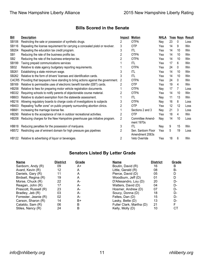#### **Bills Scored in the Senate**

| <b>Bill</b>     | <b>Description</b>                                                              | Impact | <b>Motion</b>                         | <b>NHLA</b> |    |    | Yeas Nays Result |
|-----------------|---------------------------------------------------------------------------------|--------|---------------------------------------|-------------|----|----|------------------|
| <b>SB106</b>    | Restricting the sale or possession of synthetic drugs.                          | 2      | <b>OTPA</b>                           | Nay         | 23 | 0  | Loss             |
| <b>SB116</b>    | Repealing the license requirement for carrying a concealed pistol or revolver.  | 3      | <b>OTP</b>                            | Yea         | 14 | 9  | Win              |
| SB204           | Repealing the education tax credit program.                                     | 3      | <b>ITL</b>                            | Yea         | 14 | 10 | Win              |
| SB <sub>1</sub> | Reducing the rate of the business profits tax.                                  | 2      | <b>OTPA</b>                           | Yea         | 14 | 10 | Win              |
| SB <sub>2</sub> | Reducing the rate of the business enterprise tax.                               | 2      | <b>OTPA</b>                           | Yea         | 14 | 10 | Win              |
| <b>SB199</b>    | Taxing prepaid communications services                                          |        | <b>ITL</b>                            | Yea         | 17 | 6  | Win              |
| <b>SB32</b>     | Relative to state agency budgetary reporting requirements.                      |        | <b>OTPA</b>                           | Yea         | 24 | 0  | Win              |
| SB261           | Establishing a state minimum wage.                                              | 3      | ITL                                   | Yea         | 14 | 10 | Win              |
| SB262           | Relative to the form of drivers' licenses and identification cards.             | 3      | <b>ITL</b>                            | Yea         | 14 | 10 | Win              |
| CACR5           | Providing that taxpayers have standing to bring actions against the government. | 2      | <b>OTPA</b>                           | Yea         | 24 | 0  | Win              |
| SB169           | Relative to permissible uses of electronic benefit transfer (EBT) cards.        | 2      | <b>OTP</b>                            | Yea         | 19 | 4  | Win              |
| <b>HB258</b>    | Relative to fees for preparing motor vehicle registration documents.            |        | <b>OTPA</b>                           | Nay         | 17 | 7  | Loss             |
| HB332           | Requiring schools to notify parents of objectionable course material.           |        | <b>OTPA</b>                           | Yea         | 14 | 10 | Win              |
| HB603           | Relative to student exemption from the statewide assessment.                    |        | ITL                                   | Nay         | 11 | 13 | Win              |
| HB216           | Allowing regulatory boards to charge costs of investigations to subjects        | 3      | <b>OTPA</b>                           | Nay         | 16 | 8  | Loss             |
| HB403           | Repealing "buffer zone" on public property surrounding abortion clinics.        |        | <b>OTP</b>                            | Yea         | 12 | 12 | Loss             |
| <b>HB681</b>    | Increasing the marriage license fee.                                            |        | Sections 2 and 3                      | Nay         | 21 | 3  | Loss             |
| HB290           | Relative to the acceptance of risk in outdoor recreational activities.          | 2      | <b>OTP</b>                            | Yea         | 18 | 4  | Win              |
| <b>HB208</b>    | Reducing charges for the New Hampshire greenhouse gas initiative program.       | 2      | Committee Amend-<br>ment 1970s        | Nay         | 14 | 10 | Loss             |
| HB618           | Reducing penalties for the possession of marijuana.                             | 3      | ITL                                   | Nay         | 9  | 15 | Win              |
| HB572           | Restricting use of eminent domain for high pressure gas pipelines               | 2      | Sen. Sanborn Floor<br>Amendment 2063s | Yea         | 5  | 19 | Loss             |
|                 | HB122 Relative to advertising of liquor or beverages.                           | 2      | Veto Override                         | Yea         | 18 | 6  | Win              |

#### **Senators Listed By Letter Grade**

| <b>Name</b>           | <b>District</b> | Grade | <b>Name</b>              | <b>District</b> | Grade |
|-----------------------|-----------------|-------|--------------------------|-----------------|-------|
| Sanborn, Andy (R)     | 09              | A+    | Boutin, David (R)        | 16              | В     |
| Avard, Kevin (R)      | 12              | А     | Little, Gerald $(R)$     | 08              | В-    |
| Daniels, Gary (R)     | 11              | A     | Pierce, David (D)        | 05              |       |
| Birdsell, Regina (R)  | 19              | А     | Woodburn, Jeff (D)       | 01              |       |
| Morse, Chuck (R)      | 22              | А-    | D'Allesandro, Lou (D)    | 20              | D-    |
| Reagan, John (R)      | 17              | А-    | Watters, David (D)       | 04              | D-    |
| Prescott, Russell (R) | 23              | А-    | Hosmer, Andrew (D)       | 07              | D-    |
| Bradley, Jeb (R)      | 03              | А-    | Soucy, Donna (D)         | 18              | D-    |
| Forrester, Jeanie (R) | 02              | А-    | Feltes, Dan (D)          | 15              | D-    |
| Carson, Sharon (R)    | 14              | B+    | Lasky, Bette (D)         | 13              | D-    |
| Cataldo, Sam (R)      | 06              | в     | Fuller Clark, Martha (D) | 21              |       |
| Stiles, Nancy (R)     | 24              | B     | Kelly, Molly (D)         | 10              | CТ    |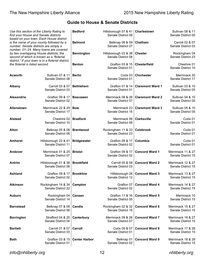|                                 | Use this section of the Liberty Rating to<br>find your House and Senate districts<br>based on your town. Each House district               | <b>Bedford</b>       | Hillsborough 07 & 41<br>Senate District 09       | Charlestown             | <b>Sullivan 08 &amp; 11</b><br>Senate District 05 |
|---------------------------------|--------------------------------------------------------------------------------------------------------------------------------------------|----------------------|--------------------------------------------------|-------------------------|---------------------------------------------------|
|                                 | is the name of your county followed by a<br>number. Senate districts are simply a<br>number, 01-24. Many towns are covered                 | <b>Belmont</b>       | Belknap 06 & 09<br>Senate District 07            | Chatham                 | Carroll 02 & 07<br>Senate District 03             |
|                                 | by two overlapping House districts, the<br>second of which is known as a "floterial<br>district." If your town is in a floterial district, | <b>Bennington</b>    | Hillsborough 03 & 38<br>Senate District 08       | <b>Chester</b>          | Rockingham 04<br>Senate District 23               |
| the floterial is listed second. |                                                                                                                                            | <b>Benton</b>        | Grafton 03 & 15<br>Senate District 01            | <b>Chesterfield</b>     | Cheshire 01<br>Senate District 10                 |
| Acworth                         | Sullivan 07 & 11<br>Senate District 08                                                                                                     | <b>Berlin</b>        | Coös 03<br>Senate District 01                    | <b>Chichester</b>       | Merrimack 20<br>Senate District 17                |
| Albany                          | Carroll 03 & 07<br>Senate District 03                                                                                                      | <b>Bethlehem</b>     | Grafton 01 & 14<br>Senate District 01            | <b>Claremont Ward 1</b> | Sullivan 03 & 10<br>Senate District 05            |
| Alexandria                      | Grafton 09 & 17<br>Senate District 02                                                                                                      | <b>Boscawen</b>      | Merrimack 08 & 26<br>Senate District 07          | <b>Claremont Ward 2</b> | Sullivan 04 & 10<br>Senate District 05            |
| <b>Allenstown</b>               | Merrimack 22 & 29<br>Senate District 17                                                                                                    | <b>Bow</b>           | Merrimack 23<br>Senate District 16               | <b>Claremont Ward 3</b> | Sullivan 05 & 10<br>Senate District 05            |
| <b>Alstead</b>                  | Cheshire 02<br>Senate District 10                                                                                                          | <b>Bradford</b>      | Merrimack 06<br>Senate District 08               | <b>Clarksville</b>      | Coös 01<br>Senate District 01                     |
| Alton                           | Belknap 05 & 08<br>Senate District 06                                                                                                      | <b>Brentwood</b>     | Rockingham 11 & 33<br>Senate District 23         | Colebrook               | Coös 01<br>Senate District 01                     |
| <b>Amherst</b>                  | Hillsborough 22 & 41<br>Senate District 11                                                                                                 | <b>Bridgewater</b>   | Grafton 09 & 17<br>Senate District 02            | Columbia                | Coös 01<br>Senate District 01                     |
| <b>Andover</b>                  | Merrimack 01 & 25<br>Senate District 07                                                                                                    | <b>Bristol</b>       | Grafton 09 & 17<br>Senate District 02            | <b>Concord Ward 1</b>   | Merrimack 11 & 27<br>Senate District 15           |
| Antrim                          | Hillsborough 01 & 38<br>Senate District 08                                                                                                 | <b>Brookfield</b>    | <b>Carroll 05 &amp; 08</b><br>Senate District 03 | <b>Concord Ward 2</b>   | Merrimack 12 & 27<br>Senate District 15           |
| Ashland                         | Grafton 09 & 17<br>Senate District 02                                                                                                      | <b>Brookline</b>     | Hillsborough 26<br>Senate District 12            | <b>Concord Ward 3</b>   | Merrimack 13 & 27<br>Senate District 15           |
| <b>Atkinson</b>                 | Rockingham 14 & 34<br>Senate District 22                                                                                                   | Campton              | Grafton 07<br>Senate District 02                 | <b>Concord Ward 4</b>   | Merrimack 14 & 27<br>Senate District 15           |
| <b>Auburn</b>                   | Rockingham 04<br>Senate District 14                                                                                                        | Canaan               | Grafton 11 & 16<br>Senate District 05            | <b>Concord Ward 5</b>   | Merrimack 10<br>Senate District 15                |
| <b>Barnstead</b>                | Belknap 07 & 08<br>Senate District 06                                                                                                      | Candia               | Rockingham 02 & 32<br>Senate District 16         | <b>Concord Ward 6</b>   | Merrimack 15 & 27<br>Senate District 15           |
| <b>Barrington</b>               | Strafford 04 & 25<br>Senate District 04                                                                                                    | Canterbury           | Merrimack 09 & 26<br>Senate District 07          | <b>Concord Ward 7</b>   | Merrimack 16 & 27<br>Senate District 15           |
| <b>Bartlett</b>                 | Carroll 01 & 07<br>Senate District 03                                                                                                      | Carroll              | Coös 05 & 07<br>Senate District 01               | <b>Concord Ward 8</b>   | Merrimack 17 & 28<br>Senate District 15           |
| <b>Bath</b>                     | Grafton 03 & 15<br>Senate District 01                                                                                                      | <b>Center Harbor</b> | Belknap 01<br>Senate District 02                 | <b>Concord Ward 9</b>   | Merrimack 18 & 28<br>Senate District 15           |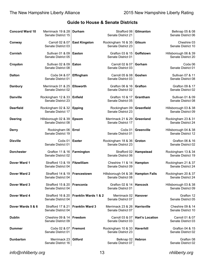| <b>Concord Ward 10</b> | Merrimack 19 & 28   Durham<br>Senate District 15 |                                 | Strafford 06<br>Senate District 21         | Gilmanton              | Belknap 05 & 08<br>Senate District 06      |
|------------------------|--------------------------------------------------|---------------------------------|--------------------------------------------|------------------------|--------------------------------------------|
| Conway                 | Carroll 02 & 07<br>Senate District 03            | <b>East Kingston</b>            | Rockingham 16 & 35<br>Senate District 23   | Gilsum                 | Cheshire 03<br>Senate District 10          |
| Cornish                | Sullivan 01 & 09<br>Senate District 05           | Easton                          | Grafton 03 & 15<br>Senate District 01      | Goffstown              | Hillsborough 06 & 39<br>Senate District 20 |
| Croydon                | Sullivan 02 & 09<br>Senate District 08           | Eaton                           | Carroll 02 & 07<br>Senate District 03      | Gorham                 | Coös 06<br>Senate District 01              |
| <b>Dalton</b>          | Coös 04 & 07<br>Senate District 01               | Effingham                       | Carroll 05 & 08<br>Senate District 03      | Goshen                 | Sullivan 07 & 11<br>Senate District 08     |
| <b>Danbury</b>         | Merrimack 01 & 25<br>Senate District 02          | <b>Ellsworth</b>                | Grafton 06 & 16<br>Senate District 02      | <b>Grafton</b>         | Grafton 09 & 17<br>Senate District 02      |
| <b>Danville</b>        | Rockingham 12 & 33<br>Senate District 23         | Enfield                         | Grafton 10 & 17<br>Senate District 05      | Grantham               | Sullivan 01 & 09<br>Senate District 08     |
| <b>Deerfield</b>       | Rockingham 02 & 32<br>Senate District 17         | <b>Epping</b>                   | Rockingham 09<br>Senate District 23        | Greenfield             | Hillsborough 03 & 38<br>Senate District 09 |
| <b>Deering</b>         | Hillsborough 02 & 39<br>Senate District 08       | <b>Epsom</b>                    | Merrimack 21 & 29<br>Senate District 17    | Greenland              | Rockingham 23 & 31<br>Senate District 24   |
| <b>Derry</b>           | Rockingham 06<br>Senate District 19              | Errol                           | Coös 01<br>Senate District 01              | Greenville             | Hillsborough 04 & 38<br>Senate District 12 |
| <b>Dixville</b>        | Coös 01<br>Senate District 01                    | <b>Exeter</b>                   | Rockingham 18 & 36<br>Senate District 23   | Groton                 | Grafton 06 & 16<br>Senate District 02      |
| <b>Dorchester</b>      | Grafton 11 & 16<br>Senate District 02            | Farmington                      | Strafford 02<br>Senate District 06         | Hampstead              | Rockingham 13 & 34<br>Senate District 19   |
| Dover Ward 1           | Strafford 13 & 19<br>Senate District 04          | Fitzwilliam                     | Cheshire 11 & 14<br>Senate District 09     | Hampton                | Rockingham 21 & 37<br>Senate District 24   |
| Dover Ward 2           | Strafford 14 & 19<br>Senate District 04          | Francestown                     | Hillsborough 04 & 38<br>Senate District 08 | <b>Hampton Falls</b>   | Rockingham 20 & 37<br>Senate District 24   |
| Dover Ward 3           | Strafford 15 & 20<br>Senate District 04          | Franconia                       | Grafton 02 & 14<br>Senate District 01      | <b>Hancock</b>         | Hillsborough 03 & 38<br>Senate District 09 |
| Dover Ward 4           | Strafford 16 & 20<br>Senate District 04          | <b>Franklin Wards 1 &amp; 2</b> | Merrimack 02<br>Senate District 07         | <b>Hanover</b>         | Grafton 12<br>Senate District 05           |
| Dover Wards 5 & 6      | Strafford 17 & 21<br>Senate District 04          | <b>Franklin Ward 3</b>          | Merrimack 23 & 26<br>Senate District 07    | <b>Harrisville</b>     | Cheshire 09 & 14<br>Senate District 10     |
| <b>Dublin</b>          | Cheshire 09 & 14<br>Senate District 09           | Freedom                         | Carroll 03 & 07<br>Senate District 03      | <b>Hart's Location</b> | Carroll 01 & 07<br>Senate District 03      |
| <b>Dummer</b>          | Coös 02 & 07<br>Senate District 01               | <b>Fremont</b>                  | Rockingham 10 & 33<br>Senate District 23   | <b>Haverhill</b>       | Grafton 04 & 15<br>Senate District 02      |
| <b>Dunbarton</b>       | Merrimack 23<br>Senate District 16               | Gilford                         | Belknap 02<br>Senate District 07           | <b>Hebron</b>          | Grafton 08<br>Senate District 02           |

*info@nhliberty.org* 13 *nhliberty.org*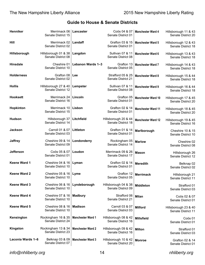| Henniker            | Merrimack 06<br>Senate District 15         | Lancaster                | Coös 04 & 07<br>Senate District 01                | <b>Manchester Ward 4</b>  | Hillsborough 11 & 43<br>Senate District 20        |
|---------------------|--------------------------------------------|--------------------------|---------------------------------------------------|---------------------------|---------------------------------------------------|
| Hill                | Merrimack 02<br>Senate District 02         | Landaff                  | Grafton 03 & 15<br>Senate District 01             | <b>Manchester Ward 5</b>  | Hillsborough 12 & 43<br>Senate District 18        |
| Hillsborough        | Hillsborough 01 & 38<br>Senate District 08 | Langdon                  | Sullivan 07 & 11<br>Senate District 08            | <b>Manchester Ward 6</b>  | Hillsborough 13 & 43<br>Senate District 18        |
| <b>Hinsdale</b>     | Cheshire 01<br>Senate District 10          | Lebanon Wards 1-3        | Grafton 13<br>Senate District 05                  | <b>Manchester Ward 7</b>  | Hillsborough 14 & 43<br>Senate District 18        |
| <b>Holderness</b>   | Grafton 08<br>Senate District 02           | Lee                      | Strafford 05 & 25<br>Senate District 21           | <b>Manchester Ward 8</b>  | Hillsborough 15 & 44<br>Senate District 18        |
| <b>Hollis</b>       | Hillsborough 27 & 40<br>Senate District 12 | Lempster                 | <b>Sullivan 07 &amp; 11</b><br>Senate District 08 | <b>Manchester Ward 9</b>  | Hillsborough 16 & 44<br>Senate District 18        |
| <b>Hooksett</b>     | Merrimack 24<br>Senate District 16         | Lincoln                  | Grafton 05<br>Senate District 01                  | <b>Manchester Ward 10</b> | Hillsborough 17 & 45<br>Senate District 20        |
| Hopkinton           | Merrimack 10<br>Senate District 15         | Lisbon                   | Grafton 02 & 14<br>Senate District 01             | <b>Manchester Ward 11</b> | Hillsborough 18 & 45<br>Senate District 20        |
| <b>Hudson</b>       | Hillsborough 37<br>Senate District 14      | Litchfield               | Hillsborough 20 & 44<br>Senate District 18        | <b>Manchester Ward 12</b> | Hillsborough 19 & 45<br>Senate District 16        |
| <b>Jackson</b>      | Carroll 01 & 07<br>Senate District 03      | Littleton                | Grafton 01 & 14<br>Senate District 01             | Marlborough               | <b>Cheshire 10 &amp; 15</b><br>Senate District 10 |
| <b>Jaffrey</b>      | Cheshire 09 & 14<br>Senate District 09     | Londonderry              | Rockingham 05<br>Senate District 14               | <b>Marlow</b>             | Cheshire 02<br>Senate District 08                 |
| <b>Jefferson</b>    | Coös 05 & 07<br>Senate District 01         | Loudon                   | Merrimack 09 & 26<br>Senate District 17           | <b>Mason</b>              | Hillsborough 26<br>Senate District 12             |
| Keene Ward 1        | Cheshire 04 & 16<br>Senate District 10     | Lyman                    | Grafton 02 & 14<br>Senate District 01             | <b>Meredith</b>           | Belknap 02<br>Senate District 02                  |
| <b>Keene Ward 2</b> | Cheshire 05 & 16<br>Senate District 10     | Lyme                     | Grafton 12<br>Senate District 05                  | <b>Merrimack</b>          | Hillsborough 21<br>Senate District 11             |
| <b>Keene Ward 3</b> | Cheshire 06 & 16<br>Senate District 10     | Lyndeborough             | Hillsborough 04 & 38<br>Senate District 09        | <b>Middleton</b>          | Strafford 01<br>Senate District 03                |
| Keene Ward 4        | Cheshire 07 & 16<br>Senate District 10     | <b>Madbury</b>           | Strafford 06<br>Senate District 21                | <b>Milan</b>              | Coös 02 & 07<br>Senate District 01                |
| Keene Ward 5        | Cheshire 08 & 16<br>Senate District 10     | <b>Madison</b>           | Carroll 03 & 07<br>Senate District 03             | <b>Milford</b>            | Hillsborough 23 & 40<br>Senate District 11        |
| Kensington          | Rockingham 16 & 35<br>Senate District 24   | <b>Manchester Ward 1</b> | Hillsborough 08 & 42<br>Senate District 16        | <b>Millsfield</b>         | Coös 01<br>Senate District 01                     |
| Kingston            | Rockingham 13 & 34<br>Senate District 23   | <b>Manchester Ward 2</b> | Hillsborough 09 & 42<br>Senate District 16        | <b>Milton</b>             | Strafford 01<br>Senate District 03                |
| Laconia Wards 1-6   | Belknap 03 & 09<br>Senate District 07      | <b>Manchester Ward 3</b> | Hillsborough 10 & 42<br>Senate District 20        | <b>Monroe</b>             | Grafton 02 & 14<br>Senate District 01             |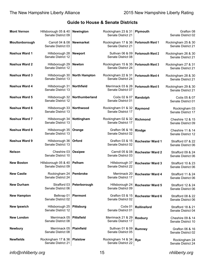| <b>Mont Vernon</b> | Hillsborough 05 & 40<br>Senate District 09 | Newington            | Rockingham 23 & 31<br>Senate District 21 | Plymouth                 | Grafton 08<br>Senate District 02         |
|--------------------|--------------------------------------------|----------------------|------------------------------------------|--------------------------|------------------------------------------|
| Moultonborough     | Carroll 04 & 08<br>Senate District 03      | <b>Newmarket</b>     | Rockingham 17 & 36<br>Senate District 21 | Portsmouth Ward 1        | Rockingham 25 & 30<br>Senate District 21 |
| Nashua Ward 1      | Hillsborough 28<br>Senate District 12      | <b>Newport</b>       | Sullivan 06 & 09<br>Senate District 08   | <b>Portsmouth Ward 2</b> | Rockingham 26 & 30<br>Senate District 21 |
| Nashua Ward 2      | Hillsborough 29<br>Senate District 12      | <b>Newton</b>        | Rockingham 15 & 35<br>Senate District 24 | <b>Portsmouth Ward 3</b> | Rockingham 27 & 31<br>Senate District 21 |
| Nashua Ward 3      | Hillsborough 30<br>Senate District 13      | <b>North Hampton</b> | Rockingham 22 & 31<br>Senate District 24 | <b>Portsmouth Ward 4</b> | Rockingham 28 & 30<br>Senate District 21 |
| Nashua Ward 4      | Hillsborough 31<br>Senate District 13      | Northfield           | Merrimack 03 & 26<br>Senate District 07  | <b>Portsmouth Ward 5</b> | Rockingham 29 & 30<br>Senate District 21 |
| Nashua Ward 5      | Hillsborough 32<br>Senate District 12      | Northumberland       | Coös 02 & 07<br>Senate District 01       | Randolph                 | Coös 05 & 07<br>Senate District 01       |
| Nashua Ward 6      | Hillsborough 33<br>Senate District 13      | Northwood            | Rockingham 01 & 32<br>Senate District 17 | Raymond                  | Rockingham 03<br>Senate District 17      |
| Nashua Ward 7      | Hillsborough 34<br>Senate District 13      | Nottingham           | Rockingham 02 & 32<br>Senate District 17 | Richmond                 | Cheshire 12 & 15<br>Senate District 09   |
| Nashua Ward 8      | Hillsborough 35<br>Senate District 13      | Orange               | Grafton 06 & 16<br>Senate District 02    | Rindge                   | Cheshire 11 & 14<br>Senate District 12   |
| Nashua Ward 9      | Hillsborough 36<br>Senate District 13      | Orford               | Grafton 03 & 15<br>Senate District 02    | <b>Rochester Ward 1</b>  | Strafford 07 & 22<br>Senate District 06  |
| <b>Nelson</b>      | Cheshire 03<br>Senate District 10          | <b>Ossipee</b>       | Carroll 05 & 08<br>Senate District 03    | <b>Rochester Ward 2</b>  | Strafford 09 & 24<br>Senate District 06  |
| <b>New Boston</b>  | Hillsborough 05 & 40<br>Senate District 09 | Pelham               | Hillsborough 37<br>Senate District 22    | <b>Rochester Ward 3</b>  | Strafford 10 & 23<br>Senate District 06  |
| <b>New Castle</b>  | Rockingham 24<br>Senate District 24        | Pembroke             | Merrimack 20<br>Senate District 17       | <b>Rochester Ward 4</b>  | Strafford 11 & 24<br>Senate District 06  |
| <b>New Durham</b>  | Strafford 03<br>Senate District 06         | Peterborough         | Hillsborough 24<br>Senate District 09    | <b>Rochester Ward 5</b>  | Strafford 12 & 24<br>Senate District 06  |
| <b>New Hampton</b> | Belknap 01<br>Senate District 02           | <b>Piermont</b>      | Grafton 03 & 15<br>Senate District 02    | <b>Rochester Ward 6</b>  | Strafford 08 & 22<br>Senate District 06  |
| <b>New Ipswich</b> | Hillsborough 25<br>Senate District 12      | <b>Pittsburg</b>     | Coös 01<br>Senate District 01            | Rollinsford              | Strafford 18 & 21<br>Senate District 04  |
| <b>New London</b>  | Merrimack 05<br>Senate District 08         | <b>Pittsfield</b>    | Merrimack 21 & 29<br>Senate District 17  | Roxbury                  | Cheshire 09 & 14<br>Senate District 10   |
| <b>Newbury</b>     | Merrimack 05<br>Senate District 08         | <b>Plainfield</b>    | Sullivan 01 & 09<br>Senate District 05   | <b>Rumney</b>            | Grafton 06 & 16<br>Senate District 02    |
| <b>Newfields</b>   | Rockingham 17 & 36<br>Senate District 21   | <b>Plaistow</b>      | Rockingham 14 & 34<br>Senate District 22 | <b>Rye</b>               | Rockingham 24<br>Senate District 24      |

*info@nhliberty.org* 15 *nhliberty.org*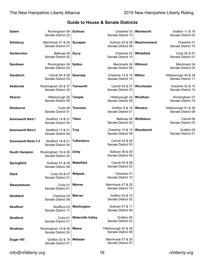| <b>Salem</b>          | Rockingham 08   Sullivan<br>Senate District 22 |                          | Cheshire 03<br>Senate District 10                | Wentworth      | Grafton 11 & 16<br>Senate District 02      |
|-----------------------|------------------------------------------------|--------------------------|--------------------------------------------------|----------------|--------------------------------------------|
| <b>Salisbury</b>      | Merrimack 01 & 25<br>Senate District 07        | <b>Sunapee</b>           | Sullivan 02 & 09<br>Senate District 08           | Westmoreland   | Cheshire 01<br>Senate District 10          |
| Sanbornton            | Belknap 04<br>Senate District 02               | <b>Surry</b>             | Cheshire 02<br>Senate District 10                | Whitefield     | Coös 05 & 07<br>Senate District 01         |
| Sandown               | Rockingham 04<br>Senate District 23            | <b>Sutton</b>            | Merrimack 04<br>Senate District 08               | <b>Wilmont</b> | Merrimack 04<br>Senate District 02         |
| <b>Sandwich</b>       | Carroll 04 & 08<br>Senate District 03          | <b>Swanzey</b>           | Cheshire 12 & 15<br>Senate District 10           | Wilton         | Hillsborough 04 & 38<br>Senate District 11 |
| <b>Seabrook</b>       | Rockingham 20 & 37<br>Senate District 24       | <b>Tamworth</b>          | Carroll 03 & 07<br>Senate District 03            | Winchester     | Cheshire 02 & 15<br>Senate District 10     |
| <b>Sharon</b>         | Hillsborough 25<br>Senate District 09          | <b>Temple</b>            | Hillsborough 25<br>Senate District 09            | Windham        | Rockingham 07<br>Senate District 19        |
| <b>Shelburne</b>      | Coös 06<br>Senate District 01                  | <b>Thornton</b>          | Grafton 6 & 16<br>Senate District 01             | Windsor        | Hillsborough 01 & 38<br>Senate District 08 |
| Somersworth Ward 1    | Strafford 18 & 21<br>Senate District 04        | <b>Tilton</b>            | Belknap 04<br>Senate District 02                 | Wolfeboro      | Carroll 06<br>Senate District 03           |
| Somersworth Ward 2    | Strafford 17 & 21<br>Senate District 04        | <b>Troy</b>              | Cheshire 10 & 15<br>Senate District 09           | Woodstock      | Grafton 05<br>Senate District 01           |
| Somersworth Wards 3-5 | Strafford 18 & 21<br>Senate District 04        | <b>Tuftonboro</b>        | <b>Carroll 04 &amp; 08</b><br>Senate District 03 |                |                                            |
| South Hampton         | Rockingham 16 & 35<br>Senate District 24       | Unity                    | Sullivan 06 & 09<br>Senate District 08           |                |                                            |
| Springfield           | Sullivan 01 & 09<br>Senate District 08         | Wakefield                | Carroll 05 & 08<br>Senate District 03            |                |                                            |
| <b>Stark</b>          | Coös 02 & 07<br>Senate District 01             | Walpole                  | Cheshire 01<br>Senate District 10                |                |                                            |
| <b>Stewartstown</b>   | Coös 01<br>Senate District 01                  | Warner                   | Merrimack 07 & 25<br>Senate District 15          |                |                                            |
| <b>Stoddard</b>       | Cheshire 03<br>Senate District 08              | Warren                   | Grafton 03 & 15<br>Senate District 02            |                |                                            |
| <b>Strafford</b>      | Strafford 03<br>Senate District 17             | Washington               | Sullivan 07 & 11<br>Senate District 08           |                |                                            |
| <b>Stratford</b>      | Coös 01<br>Senate District 01                  | <b>Waterville Valley</b> | Grafton 05<br>Senate District 03                 |                |                                            |
| <b>Stratham</b>       | Rockingham 19 & 36<br>Senate District 24       | Weare                    | Hillsborough 02 & 39<br>Senate District 08       |                |                                            |
| <b>Sugar Hill</b>     | Grafton 02 & 14<br>Senate District 01          | Webster                  | Merrimack 07 & 25<br>Senate District 07          |                |                                            |

*info@nhliberty.org* 16 *nhliberty.org*